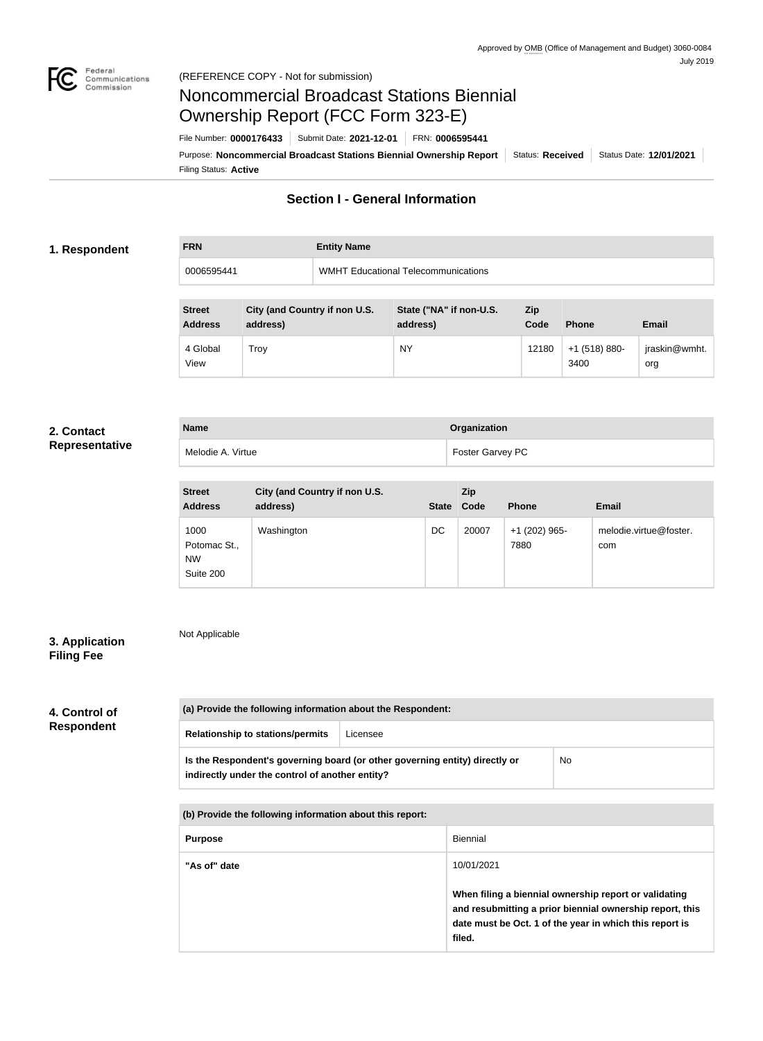

# Noncommercial Broadcast Stations Biennial Ownership Report (FCC Form 323-E)

Filing Status: **Active** Purpose: Noncommercial Broadcast Stations Biennial Ownership Report Status: Received Status Date: 12/01/2021 File Number: **0000176433** Submit Date: **2021-12-01** FRN: **0006595441**

## **Section I - General Information**

### **1. Respondent**

# **FRN Entity Name** 0006595441 WMHT Educational Telecommunications

| <b>Street</b><br><b>Address</b> | City (and Country if non U.S.<br>address) | State ("NA" if non-U.S.<br>address) | Zip<br>Code | <b>Phone</b>            | <b>Email</b>         |
|---------------------------------|-------------------------------------------|-------------------------------------|-------------|-------------------------|----------------------|
| 4 Global<br>View                | Trov                                      | <b>NY</b>                           | 12180       | $+1$ (518) 880-<br>3400 | jraskin@wmht.<br>org |

### **2. Contact Representative**

| <b>Representative</b> |  |
|-----------------------|--|
|-----------------------|--|

| <b>Name</b>       | Organization     |
|-------------------|------------------|
| Melodie A. Virtue | Foster Garvey PC |

| <b>Street</b><br><b>Address</b>                | City (and Country if non U.S.<br>address) | <b>State</b> | Zip<br>Code | <b>Phone</b>          | <b>Email</b>                  |
|------------------------------------------------|-------------------------------------------|--------------|-------------|-----------------------|-------------------------------|
| 1000<br>Potomac St.,<br><b>NW</b><br>Suite 200 | Washington                                | DC           | 20007       | +1 (202) 965-<br>7880 | melodie.virtue@foster.<br>com |

### **3. Application Filing Fee**

Not Applicable

## **4. Control of Respondent**

| (a) Provide the following information about the Respondent:                                                                    |  |    |  |
|--------------------------------------------------------------------------------------------------------------------------------|--|----|--|
| <b>Relationship to stations/permits</b><br>Licensee                                                                            |  |    |  |
| Is the Respondent's governing board (or other governing entity) directly or<br>indirectly under the control of another entity? |  | No |  |

**(b) Provide the following information about this report:**

| <b>Purpose</b> | Biennial                                                                                                                        |
|----------------|---------------------------------------------------------------------------------------------------------------------------------|
| "As of" date   | 10/01/2021<br>When filing a biennial ownership report or validating<br>and resubmitting a prior biennial ownership report, this |
|                | date must be Oct. 1 of the year in which this report is<br>filed.                                                               |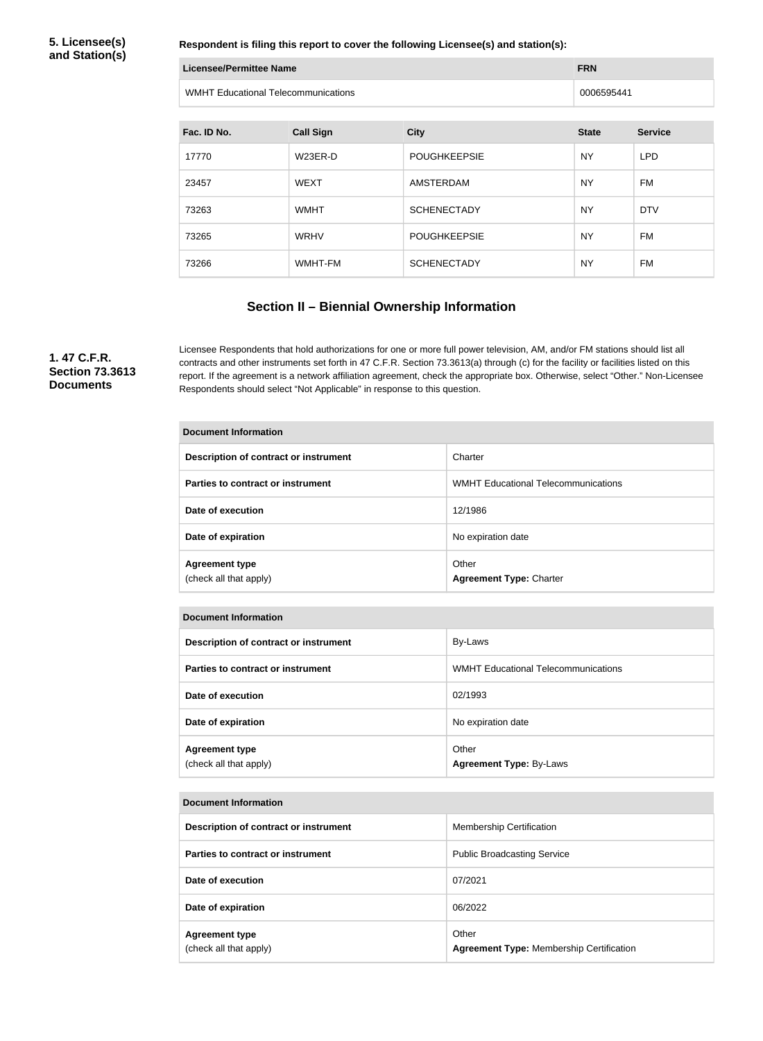**5. Licensee(s) and Station(s)**

**Respondent is filing this report to cover the following Licensee(s) and station(s):**

| Licensee/Permittee Name                    | <b>FRN</b> |
|--------------------------------------------|------------|
| <b>WMHT Educational Telecommunications</b> | 0006595441 |

| Fac. ID No. | <b>Call Sign</b> | <b>City</b>         | <b>State</b> | <b>Service</b> |
|-------------|------------------|---------------------|--------------|----------------|
| 17770       | W23ER-D          | <b>POUGHKEEPSIE</b> | <b>NY</b>    | <b>LPD</b>     |
| 23457       | <b>WEXT</b>      | AMSTERDAM           | <b>NY</b>    | <b>FM</b>      |
| 73263       | <b>WMHT</b>      | <b>SCHENECTADY</b>  | <b>NY</b>    | <b>DTV</b>     |
| 73265       | <b>WRHV</b>      | <b>POUGHKEEPSIE</b> | <b>NY</b>    | <b>FM</b>      |
| 73266       | WMHT-FM          | <b>SCHENECTADY</b>  | <b>NY</b>    | FM             |

## **Section II – Biennial Ownership Information**

**1. 47 C.F.R. Section 73.3613 Documents**

Licensee Respondents that hold authorizations for one or more full power television, AM, and/or FM stations should list all contracts and other instruments set forth in 47 C.F.R. Section 73.3613(a) through (c) for the facility or facilities listed on this report. If the agreement is a network affiliation agreement, check the appropriate box. Otherwise, select "Other." Non-Licensee Respondents should select "Not Applicable" in response to this question.

| <b>Document Information</b>                     |                                            |  |  |
|-------------------------------------------------|--------------------------------------------|--|--|
| Description of contract or instrument           | Charter                                    |  |  |
| Parties to contract or instrument               | <b>WMHT Educational Telecommunications</b> |  |  |
| Date of execution                               | 12/1986                                    |  |  |
| Date of expiration                              | No expiration date                         |  |  |
| <b>Agreement type</b><br>(check all that apply) | Other<br><b>Agreement Type: Charter</b>    |  |  |

| <b>Document Information</b>                     |                                            |  |  |
|-------------------------------------------------|--------------------------------------------|--|--|
| Description of contract or instrument           | By-Laws                                    |  |  |
| Parties to contract or instrument               | <b>WMHT Educational Telecommunications</b> |  |  |
| Date of execution                               | 02/1993                                    |  |  |
| Date of expiration                              | No expiration date                         |  |  |
| <b>Agreement type</b><br>(check all that apply) | Other<br><b>Agreement Type: By-Laws</b>    |  |  |

### **Document Information**

| Description of contract or instrument           | <b>Membership Certification</b>                          |
|-------------------------------------------------|----------------------------------------------------------|
| <b>Parties to contract or instrument</b>        | <b>Public Broadcasting Service</b>                       |
| Date of execution                               | 07/2021                                                  |
| Date of expiration                              | 06/2022                                                  |
| <b>Agreement type</b><br>(check all that apply) | Other<br><b>Agreement Type: Membership Certification</b> |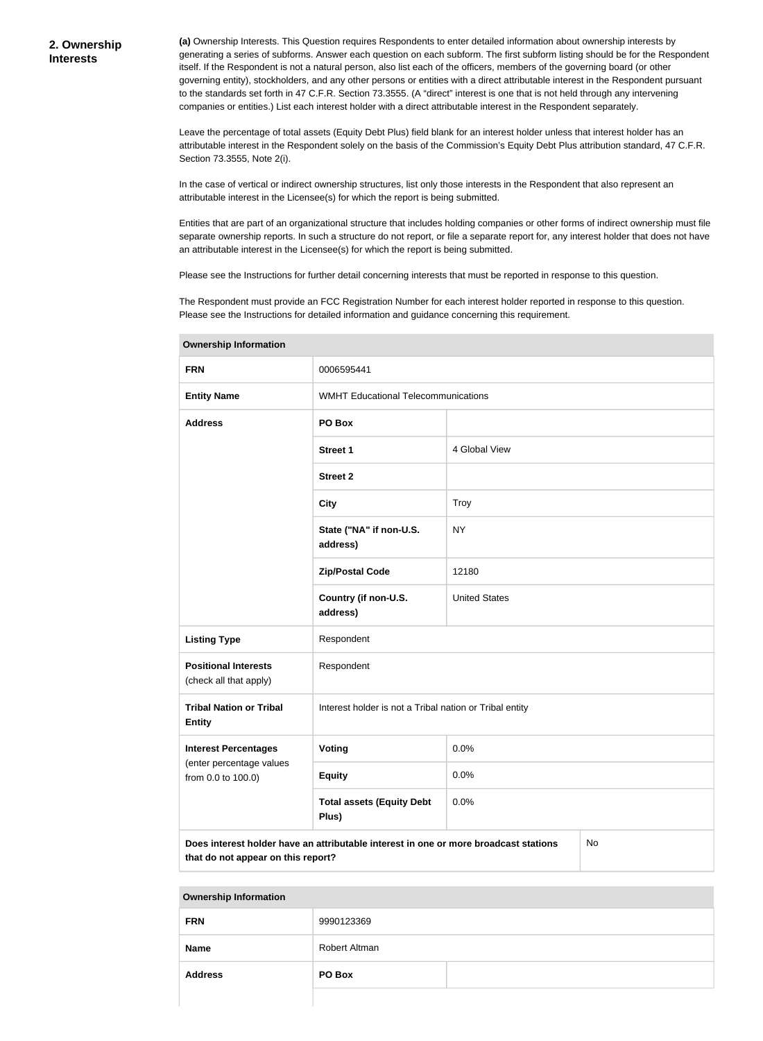**(a)** Ownership Interests. This Question requires Respondents to enter detailed information about ownership interests by generating a series of subforms. Answer each question on each subform. The first subform listing should be for the Respondent itself. If the Respondent is not a natural person, also list each of the officers, members of the governing board (or other governing entity), stockholders, and any other persons or entities with a direct attributable interest in the Respondent pursuant to the standards set forth in 47 C.F.R. Section 73.3555. (A "direct" interest is one that is not held through any intervening companies or entities.) List each interest holder with a direct attributable interest in the Respondent separately.

Leave the percentage of total assets (Equity Debt Plus) field blank for an interest holder unless that interest holder has an attributable interest in the Respondent solely on the basis of the Commission's Equity Debt Plus attribution standard, 47 C.F.R. Section 73.3555, Note 2(i).

In the case of vertical or indirect ownership structures, list only those interests in the Respondent that also represent an attributable interest in the Licensee(s) for which the report is being submitted.

Entities that are part of an organizational structure that includes holding companies or other forms of indirect ownership must file separate ownership reports. In such a structure do not report, or file a separate report for, any interest holder that does not have an attributable interest in the Licensee(s) for which the report is being submitted.

Please see the Instructions for further detail concerning interests that must be reported in response to this question.

The Respondent must provide an FCC Registration Number for each interest holder reported in response to this question. Please see the Instructions for detailed information and guidance concerning this requirement.

| ownersing information                                                                                                            |                                                         |                      |  |  |  |
|----------------------------------------------------------------------------------------------------------------------------------|---------------------------------------------------------|----------------------|--|--|--|
| <b>FRN</b>                                                                                                                       | 0006595441                                              |                      |  |  |  |
| <b>Entity Name</b>                                                                                                               | <b>WMHT Educational Telecommunications</b>              |                      |  |  |  |
| <b>Address</b>                                                                                                                   | PO Box                                                  |                      |  |  |  |
|                                                                                                                                  | <b>Street 1</b>                                         | 4 Global View        |  |  |  |
|                                                                                                                                  | <b>Street 2</b>                                         |                      |  |  |  |
|                                                                                                                                  | <b>City</b>                                             | Troy                 |  |  |  |
|                                                                                                                                  | State ("NA" if non-U.S.<br>address)                     | <b>NY</b>            |  |  |  |
|                                                                                                                                  | <b>Zip/Postal Code</b>                                  | 12180                |  |  |  |
|                                                                                                                                  | Country (if non-U.S.<br>address)                        | <b>United States</b> |  |  |  |
| <b>Listing Type</b>                                                                                                              | Respondent                                              |                      |  |  |  |
| <b>Positional Interests</b><br>(check all that apply)                                                                            | Respondent                                              |                      |  |  |  |
| <b>Tribal Nation or Tribal</b><br><b>Entity</b>                                                                                  | Interest holder is not a Tribal nation or Tribal entity |                      |  |  |  |
| <b>Interest Percentages</b>                                                                                                      | <b>Voting</b>                                           | 0.0%                 |  |  |  |
| (enter percentage values<br>from 0.0 to 100.0)                                                                                   | <b>Equity</b>                                           | 0.0%                 |  |  |  |
|                                                                                                                                  | <b>Total assets (Equity Debt</b><br>Plus)               | 0.0%                 |  |  |  |
| Does interest holder have an attributable interest in one or more broadcast stations<br>No<br>that do not appear on this report? |                                                         |                      |  |  |  |

**Ownership Information**

| <b>FRN</b>     | 9990123369    |  |
|----------------|---------------|--|
| <b>Name</b>    | Robert Altman |  |
| <b>Address</b> | PO Box        |  |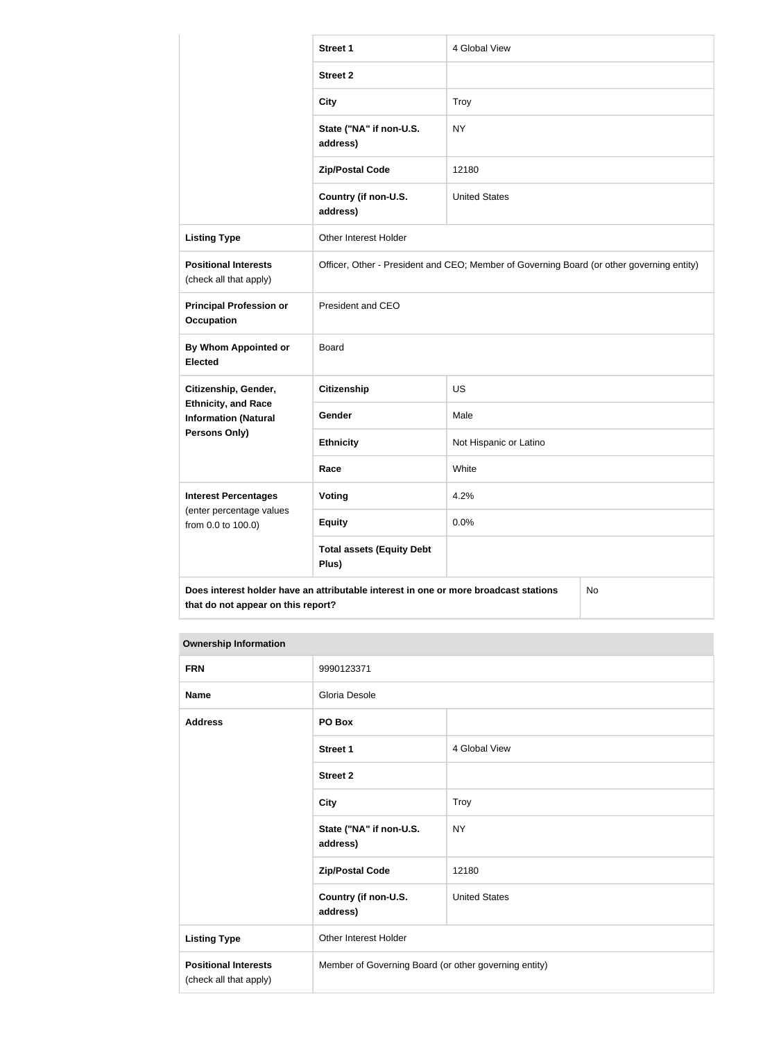|                                                                                            | <b>Street 1</b>                                                                           | 4 Global View          |  |
|--------------------------------------------------------------------------------------------|-------------------------------------------------------------------------------------------|------------------------|--|
|                                                                                            | <b>Street 2</b>                                                                           |                        |  |
|                                                                                            | <b>City</b>                                                                               | Troy                   |  |
|                                                                                            | State ("NA" if non-U.S.<br>address)                                                       | <b>NY</b>              |  |
|                                                                                            | <b>Zip/Postal Code</b>                                                                    | 12180                  |  |
|                                                                                            | Country (if non-U.S.<br>address)                                                          | <b>United States</b>   |  |
| <b>Listing Type</b>                                                                        | Other Interest Holder                                                                     |                        |  |
| <b>Positional Interests</b><br>(check all that apply)                                      | Officer, Other - President and CEO; Member of Governing Board (or other governing entity) |                        |  |
| <b>Principal Profession or</b><br><b>Occupation</b>                                        | President and CEO                                                                         |                        |  |
| <b>By Whom Appointed or</b><br><b>Elected</b>                                              | Board                                                                                     |                        |  |
| Citizenship, Gender,                                                                       | <b>Citizenship</b>                                                                        | <b>US</b>              |  |
| <b>Ethnicity, and Race</b><br><b>Information (Natural</b>                                  | Gender                                                                                    | Male                   |  |
| <b>Persons Only)</b>                                                                       | <b>Ethnicity</b>                                                                          | Not Hispanic or Latino |  |
|                                                                                            | Race                                                                                      | White                  |  |
| <b>Interest Percentages</b>                                                                | Voting                                                                                    | 4.2%                   |  |
| (enter percentage values<br>from 0.0 to 100.0)                                             | <b>Equity</b>                                                                             | 0.0%                   |  |
|                                                                                            | <b>Total assets (Equity Debt</b><br>Plus)                                                 |                        |  |
| Does interest holder have an attributable interest in one or more broadcast stations<br>No |                                                                                           |                        |  |

| <b>FRN</b>                                            | 9990123371                                            |                      |
|-------------------------------------------------------|-------------------------------------------------------|----------------------|
| <b>Name</b>                                           | Gloria Desole                                         |                      |
| <b>Address</b>                                        | PO Box                                                |                      |
|                                                       | <b>Street 1</b>                                       | 4 Global View        |
|                                                       | <b>Street 2</b>                                       |                      |
|                                                       | <b>City</b>                                           | <b>Troy</b>          |
|                                                       | State ("NA" if non-U.S.<br>address)                   | <b>NY</b>            |
|                                                       | <b>Zip/Postal Code</b>                                | 12180                |
|                                                       | Country (if non-U.S.<br>address)                      | <b>United States</b> |
| <b>Listing Type</b>                                   | Other Interest Holder                                 |                      |
| <b>Positional Interests</b><br>(check all that apply) | Member of Governing Board (or other governing entity) |                      |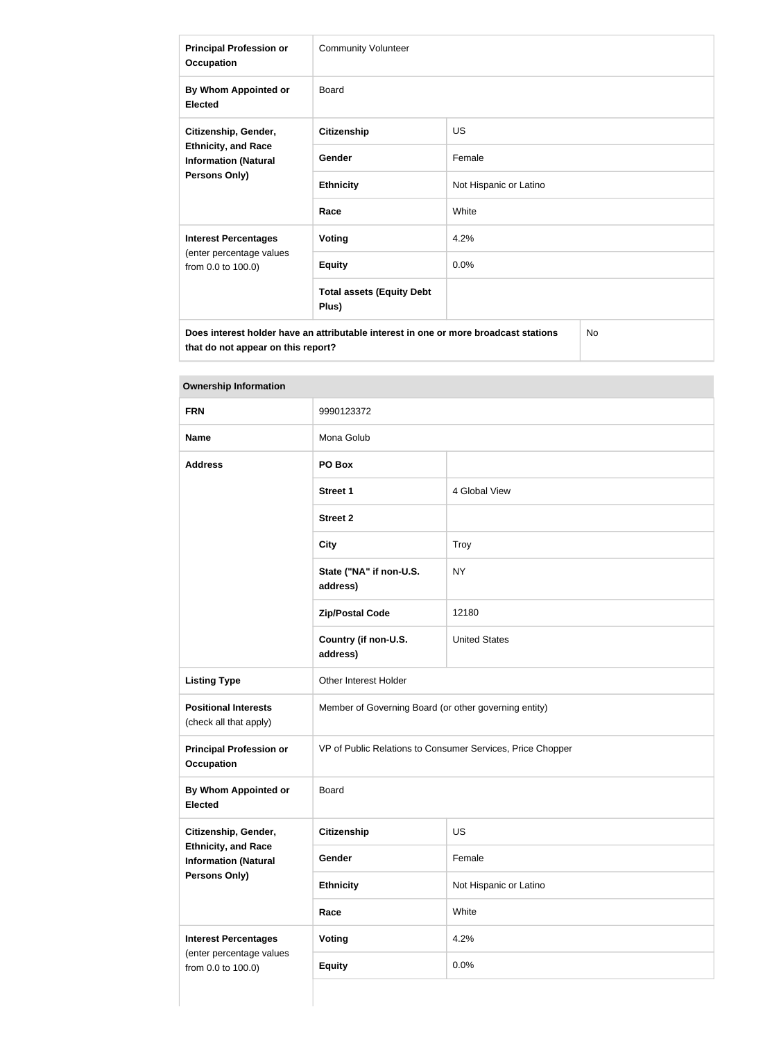| <b>Principal Profession or</b><br><b>Occupation</b>                                                       | <b>Community Volunteer</b>                |                        |  |
|-----------------------------------------------------------------------------------------------------------|-------------------------------------------|------------------------|--|
| By Whom Appointed or<br><b>Elected</b>                                                                    | Board                                     |                        |  |
| Citizenship, Gender,<br><b>Ethnicity, and Race</b><br><b>Information (Natural</b><br><b>Persons Only)</b> | <b>Citizenship</b>                        | <b>US</b>              |  |
|                                                                                                           | Gender                                    | Female                 |  |
|                                                                                                           | <b>Ethnicity</b>                          | Not Hispanic or Latino |  |
|                                                                                                           | Race                                      | White                  |  |
| <b>Interest Percentages</b>                                                                               | <b>Voting</b>                             | 4.2%                   |  |
| (enter percentage values<br>from 0.0 to 100.0)                                                            | <b>Equity</b>                             | 0.0%                   |  |
|                                                                                                           | <b>Total assets (Equity Debt</b><br>Plus) |                        |  |
| <b>No</b><br>Does interest holder have an attributable interest in one or more broadcast stations         |                                           |                        |  |

| <b>FRN</b>                                                | 9990123372                                                 |                        |
|-----------------------------------------------------------|------------------------------------------------------------|------------------------|
| <b>Name</b>                                               | Mona Golub                                                 |                        |
| <b>Address</b>                                            | PO Box                                                     |                        |
|                                                           | <b>Street 1</b>                                            | 4 Global View          |
|                                                           | <b>Street 2</b>                                            |                        |
|                                                           | <b>City</b>                                                | <b>Troy</b>            |
|                                                           | State ("NA" if non-U.S.<br>address)                        | <b>NY</b>              |
|                                                           | <b>Zip/Postal Code</b>                                     | 12180                  |
|                                                           | Country (if non-U.S.<br>address)                           | <b>United States</b>   |
| <b>Listing Type</b>                                       | Other Interest Holder                                      |                        |
| <b>Positional Interests</b><br>(check all that apply)     | Member of Governing Board (or other governing entity)      |                        |
| <b>Principal Profession or</b><br><b>Occupation</b>       | VP of Public Relations to Consumer Services, Price Chopper |                        |
| <b>By Whom Appointed or</b><br><b>Elected</b>             | Board                                                      |                        |
| Citizenship, Gender,                                      | Citizenship                                                | US                     |
| <b>Ethnicity, and Race</b><br><b>Information (Natural</b> | Gender                                                     | Female                 |
| Persons Only)                                             | <b>Ethnicity</b>                                           | Not Hispanic or Latino |
|                                                           | Race                                                       | White                  |
| <b>Interest Percentages</b>                               | <b>Voting</b>                                              | 4.2%                   |
| (enter percentage values<br>from 0.0 to 100.0)            | <b>Equity</b>                                              | 0.0%                   |
|                                                           |                                                            |                        |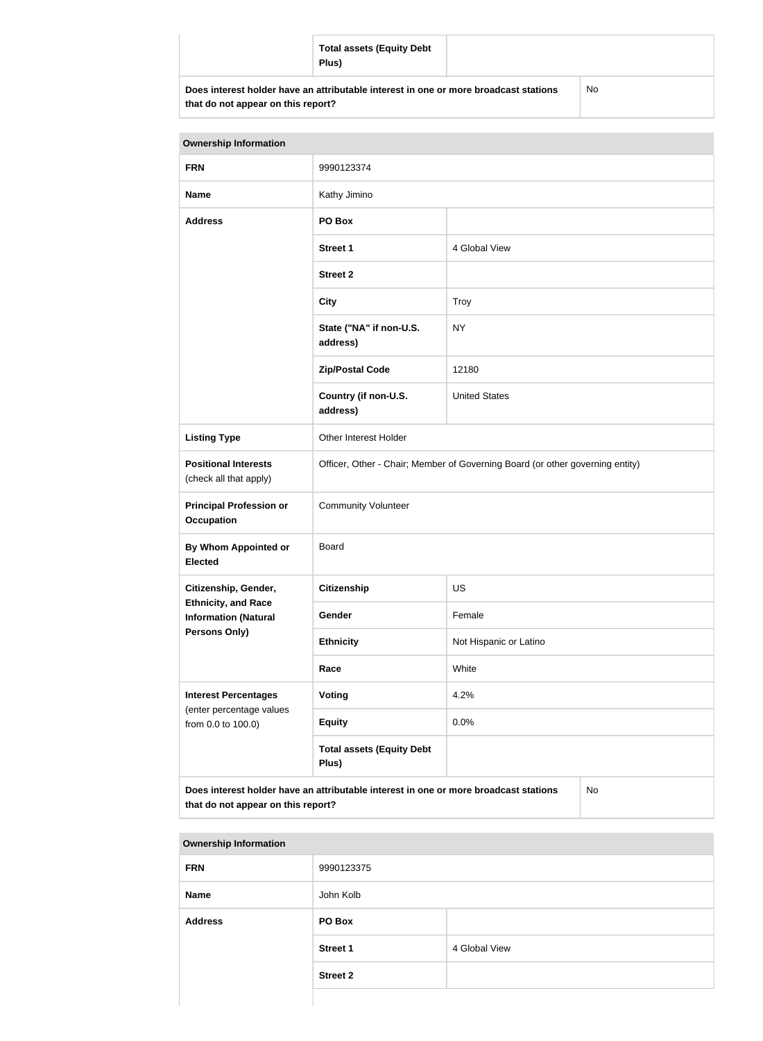| <b>Total assets (Equity Debt</b><br>Plus)                                            |    |
|--------------------------------------------------------------------------------------|----|
| Does interest holder have an attributable interest in one or more broadcast stations | No |

| <b>Ownership Information</b>                                                                                                            |                                                                               |                        |  |
|-----------------------------------------------------------------------------------------------------------------------------------------|-------------------------------------------------------------------------------|------------------------|--|
| <b>FRN</b>                                                                                                                              | 9990123374                                                                    |                        |  |
| <b>Name</b>                                                                                                                             | Kathy Jimino                                                                  |                        |  |
| <b>Address</b>                                                                                                                          | PO Box                                                                        |                        |  |
|                                                                                                                                         | <b>Street 1</b>                                                               | 4 Global View          |  |
|                                                                                                                                         | <b>Street 2</b>                                                               |                        |  |
|                                                                                                                                         | <b>City</b>                                                                   | <b>Troy</b>            |  |
|                                                                                                                                         | State ("NA" if non-U.S.<br>address)                                           | <b>NY</b>              |  |
|                                                                                                                                         | <b>Zip/Postal Code</b>                                                        | 12180                  |  |
|                                                                                                                                         | Country (if non-U.S.<br>address)                                              | <b>United States</b>   |  |
| <b>Listing Type</b>                                                                                                                     | Other Interest Holder                                                         |                        |  |
| <b>Positional Interests</b><br>(check all that apply)                                                                                   | Officer, Other - Chair; Member of Governing Board (or other governing entity) |                        |  |
| <b>Principal Profession or</b><br><b>Occupation</b>                                                                                     | <b>Community Volunteer</b>                                                    |                        |  |
| By Whom Appointed or<br><b>Elected</b>                                                                                                  | <b>Board</b>                                                                  |                        |  |
| Citizenship, Gender,                                                                                                                    | Citizenship                                                                   | <b>US</b>              |  |
| <b>Ethnicity, and Race</b><br><b>Information (Natural</b>                                                                               | Gender                                                                        | Female                 |  |
| <b>Persons Only)</b>                                                                                                                    | <b>Ethnicity</b>                                                              | Not Hispanic or Latino |  |
|                                                                                                                                         | Race                                                                          | White                  |  |
| <b>Interest Percentages</b>                                                                                                             | Voting                                                                        | 4.2%                   |  |
| (enter percentage values<br>from 0.0 to 100.0)                                                                                          | <b>Equity</b>                                                                 | 0.0%                   |  |
|                                                                                                                                         | <b>Total assets (Equity Debt</b><br>Plus)                                     |                        |  |
| Does interest holder have an attributable interest in one or more broadcast stations<br><b>No</b><br>that do not appear on this report? |                                                                               |                        |  |

| <b>Ownership Information</b> |                 |               |
|------------------------------|-----------------|---------------|
| <b>FRN</b>                   | 9990123375      |               |
| <b>Name</b>                  | John Kolb       |               |
| <b>Address</b>               | PO Box          |               |
|                              | <b>Street 1</b> | 4 Global View |
|                              | <b>Street 2</b> |               |
|                              |                 |               |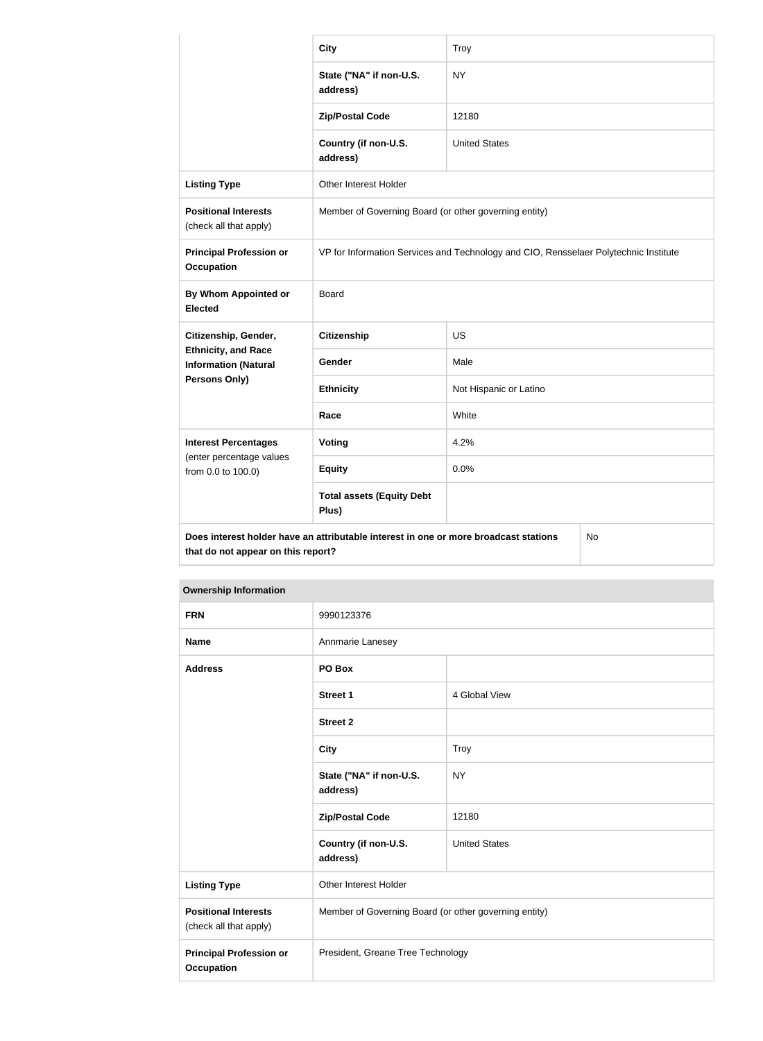|                                                                                                                                  | <b>City</b>                                                                          | Troy                   |  |
|----------------------------------------------------------------------------------------------------------------------------------|--------------------------------------------------------------------------------------|------------------------|--|
|                                                                                                                                  | State ("NA" if non-U.S.<br>address)                                                  | <b>NY</b>              |  |
|                                                                                                                                  | <b>Zip/Postal Code</b>                                                               | 12180                  |  |
|                                                                                                                                  | Country (if non-U.S.<br>address)                                                     | <b>United States</b>   |  |
| <b>Listing Type</b>                                                                                                              | Other Interest Holder                                                                |                        |  |
| <b>Positional Interests</b><br>(check all that apply)                                                                            | Member of Governing Board (or other governing entity)                                |                        |  |
| <b>Principal Profession or</b><br><b>Occupation</b>                                                                              | VP for Information Services and Technology and CIO, Rensselaer Polytechnic Institute |                        |  |
| <b>By Whom Appointed or</b><br><b>Elected</b>                                                                                    | Board                                                                                |                        |  |
| Citizenship, Gender,                                                                                                             | Citizenship                                                                          | <b>US</b>              |  |
| <b>Ethnicity, and Race</b><br><b>Information (Natural</b>                                                                        | Gender                                                                               | Male                   |  |
| Persons Only)                                                                                                                    | <b>Ethnicity</b>                                                                     | Not Hispanic or Latino |  |
|                                                                                                                                  | Race                                                                                 | White                  |  |
| <b>Interest Percentages</b>                                                                                                      | <b>Voting</b>                                                                        | 4.2%                   |  |
| (enter percentage values<br>from 0.0 to 100.0)                                                                                   | <b>Equity</b>                                                                        | 0.0%                   |  |
|                                                                                                                                  | <b>Total assets (Equity Debt</b><br>Plus)                                            |                        |  |
| Does interest holder have an attributable interest in one or more broadcast stations<br>No<br>that do not appear on this report? |                                                                                      |                        |  |

| <b>Ownership Information</b>                          |                                                       |                      |
|-------------------------------------------------------|-------------------------------------------------------|----------------------|
| <b>FRN</b>                                            | 9990123376                                            |                      |
| <b>Name</b>                                           | Annmarie Lanesey                                      |                      |
| <b>Address</b>                                        | PO Box                                                |                      |
|                                                       | <b>Street 1</b>                                       | 4 Global View        |
|                                                       | <b>Street 2</b>                                       |                      |
|                                                       | <b>City</b>                                           | Troy                 |
|                                                       | State ("NA" if non-U.S.<br>address)                   | <b>NY</b>            |
|                                                       | <b>Zip/Postal Code</b>                                | 12180                |
|                                                       | Country (if non-U.S.<br>address)                      | <b>United States</b> |
| <b>Listing Type</b>                                   | Other Interest Holder                                 |                      |
| <b>Positional Interests</b><br>(check all that apply) | Member of Governing Board (or other governing entity) |                      |
| <b>Principal Profession or</b><br><b>Occupation</b>   | President, Greane Tree Technology                     |                      |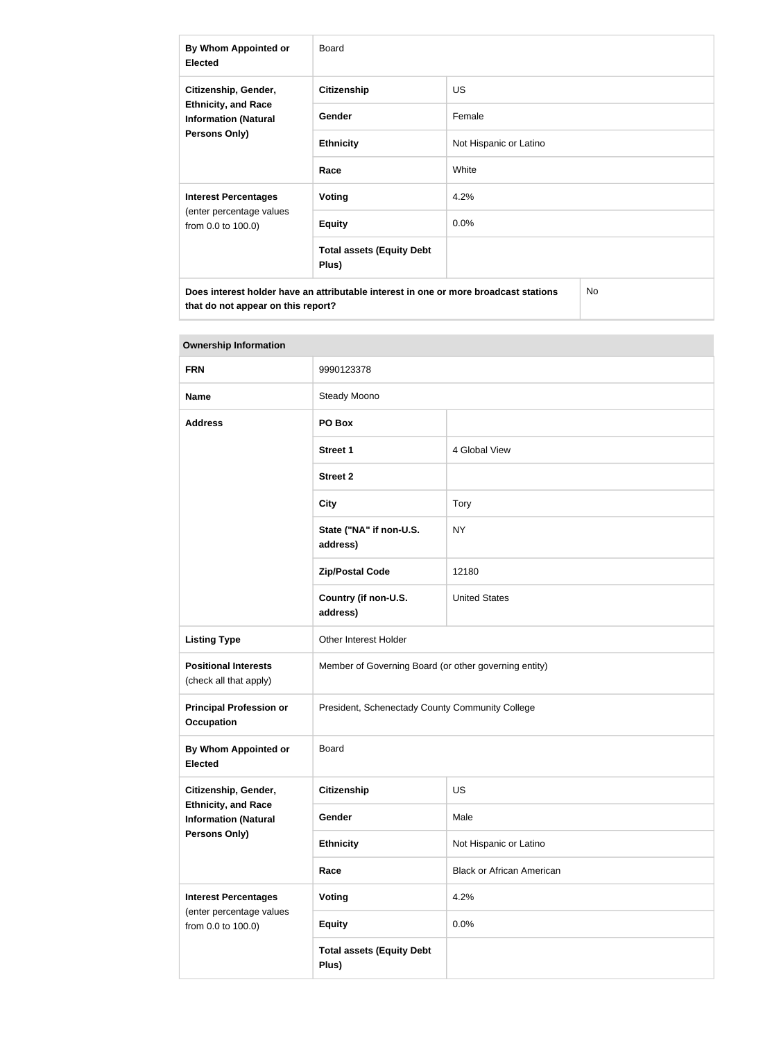| By Whom Appointed or<br><b>Elected</b>                                                                    | <b>Board</b>                              |                        |  |
|-----------------------------------------------------------------------------------------------------------|-------------------------------------------|------------------------|--|
| Citizenship, Gender,<br><b>Ethnicity, and Race</b><br><b>Information (Natural</b><br><b>Persons Only)</b> | <b>Citizenship</b>                        | <b>US</b>              |  |
|                                                                                                           | <b>Gender</b>                             | Female                 |  |
|                                                                                                           | <b>Ethnicity</b>                          | Not Hispanic or Latino |  |
|                                                                                                           | Race                                      | White                  |  |
| <b>Interest Percentages</b><br>(enter percentage values<br>from 0.0 to 100.0)                             | Voting                                    | 4.2%                   |  |
|                                                                                                           | <b>Equity</b>                             | 0.0%                   |  |
|                                                                                                           | <b>Total assets (Equity Debt</b><br>Plus) |                        |  |
| Does interest holder have an attributable interest in one or more broadcast stations<br><b>No</b>         |                                           |                        |  |

| <b>Ownership Information</b>                              |                                                       |                                  |
|-----------------------------------------------------------|-------------------------------------------------------|----------------------------------|
| <b>FRN</b>                                                | 9990123378                                            |                                  |
| <b>Name</b>                                               | Steady Moono                                          |                                  |
| <b>Address</b>                                            | PO Box                                                |                                  |
|                                                           | <b>Street 1</b>                                       | 4 Global View                    |
|                                                           | <b>Street 2</b>                                       |                                  |
|                                                           | <b>City</b>                                           | <b>Tory</b>                      |
|                                                           | State ("NA" if non-U.S.<br>address)                   | <b>NY</b>                        |
|                                                           | <b>Zip/Postal Code</b>                                | 12180                            |
|                                                           | Country (if non-U.S.<br>address)                      | <b>United States</b>             |
| <b>Listing Type</b>                                       | Other Interest Holder                                 |                                  |
| <b>Positional Interests</b><br>(check all that apply)     | Member of Governing Board (or other governing entity) |                                  |
| <b>Principal Profession or</b><br><b>Occupation</b>       | President, Schenectady County Community College       |                                  |
| <b>By Whom Appointed or</b><br><b>Elected</b>             | <b>Board</b>                                          |                                  |
| Citizenship, Gender,                                      | <b>Citizenship</b>                                    | <b>US</b>                        |
| <b>Ethnicity, and Race</b><br><b>Information (Natural</b> | Gender                                                | Male                             |
| Persons Only)                                             | <b>Ethnicity</b>                                      | Not Hispanic or Latino           |
|                                                           | Race                                                  | <b>Black or African American</b> |
| <b>Interest Percentages</b>                               | <b>Voting</b>                                         | 4.2%                             |
| (enter percentage values<br>from 0.0 to 100.0)            | <b>Equity</b>                                         | 0.0%                             |
|                                                           | <b>Total assets (Equity Debt</b><br>Plus)             |                                  |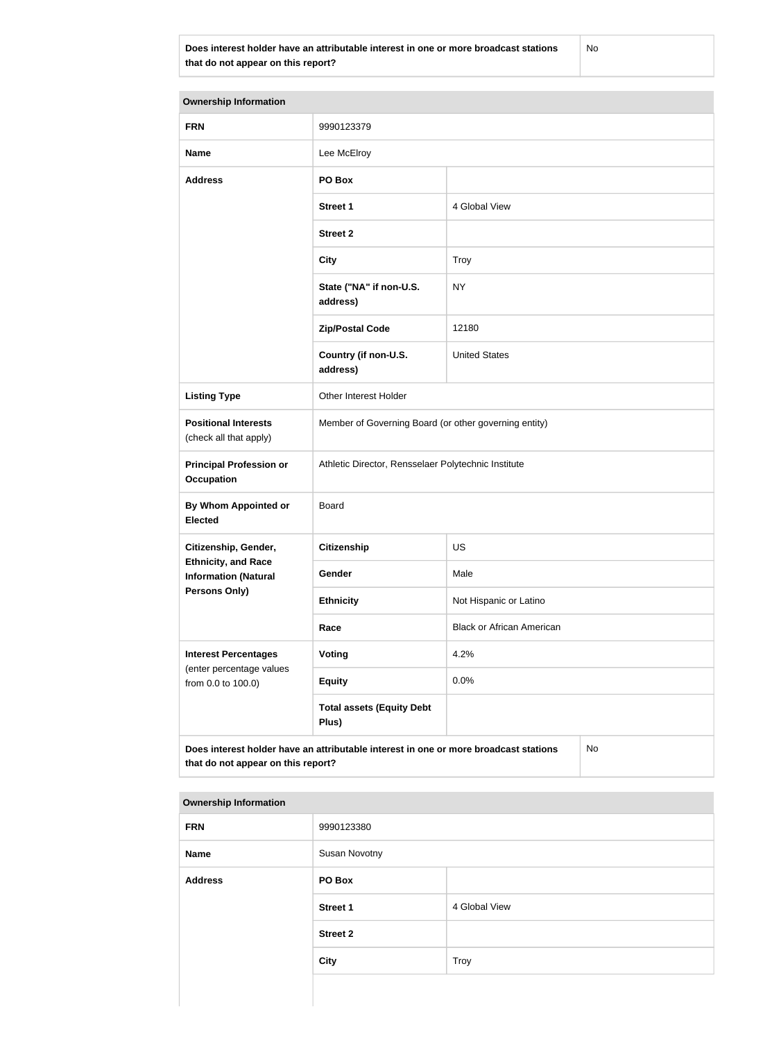**Does interest holder have an attributable interest in one or more broadcast stations that do not appear on this report?**

No

| <b>Ownership Information</b>                              |                                                                                      |                                  |           |
|-----------------------------------------------------------|--------------------------------------------------------------------------------------|----------------------------------|-----------|
| <b>FRN</b>                                                | 9990123379                                                                           |                                  |           |
| <b>Name</b>                                               | Lee McElroy                                                                          |                                  |           |
| <b>Address</b>                                            | PO Box                                                                               |                                  |           |
|                                                           | <b>Street 1</b>                                                                      | 4 Global View                    |           |
|                                                           | <b>Street 2</b>                                                                      |                                  |           |
|                                                           | <b>City</b>                                                                          | <b>Troy</b>                      |           |
|                                                           | State ("NA" if non-U.S.<br>address)                                                  | <b>NY</b>                        |           |
|                                                           | <b>Zip/Postal Code</b>                                                               | 12180                            |           |
|                                                           | Country (if non-U.S.<br>address)                                                     | <b>United States</b>             |           |
| <b>Listing Type</b>                                       | Other Interest Holder                                                                |                                  |           |
| <b>Positional Interests</b><br>(check all that apply)     | Member of Governing Board (or other governing entity)                                |                                  |           |
| <b>Principal Profession or</b><br><b>Occupation</b>       | Athletic Director, Rensselaer Polytechnic Institute                                  |                                  |           |
| <b>By Whom Appointed or</b><br><b>Elected</b>             | <b>Board</b>                                                                         |                                  |           |
| Citizenship, Gender,                                      | <b>Citizenship</b>                                                                   | US                               |           |
| <b>Ethnicity, and Race</b><br><b>Information (Natural</b> | Gender                                                                               | Male                             |           |
| <b>Persons Only)</b>                                      | <b>Ethnicity</b>                                                                     | Not Hispanic or Latino           |           |
|                                                           | Race                                                                                 | <b>Black or African American</b> |           |
| <b>Interest Percentages</b><br>(enter percentage values   | Voting                                                                               | 4.2%                             |           |
| from 0.0 to 100.0)                                        | <b>Equity</b>                                                                        | 0.0%                             |           |
|                                                           | <b>Total assets (Equity Debt</b><br>Plus)                                            |                                  |           |
| that do not appear on this report?                        | Does interest holder have an attributable interest in one or more broadcast stations |                                  | <b>No</b> |

| <b>FRN</b>     | 9990123380      |               |
|----------------|-----------------|---------------|
| Name           | Susan Novotny   |               |
| <b>Address</b> | PO Box          |               |
|                | <b>Street 1</b> | 4 Global View |
|                | <b>Street 2</b> |               |
|                | <b>City</b>     | Troy          |
|                |                 |               |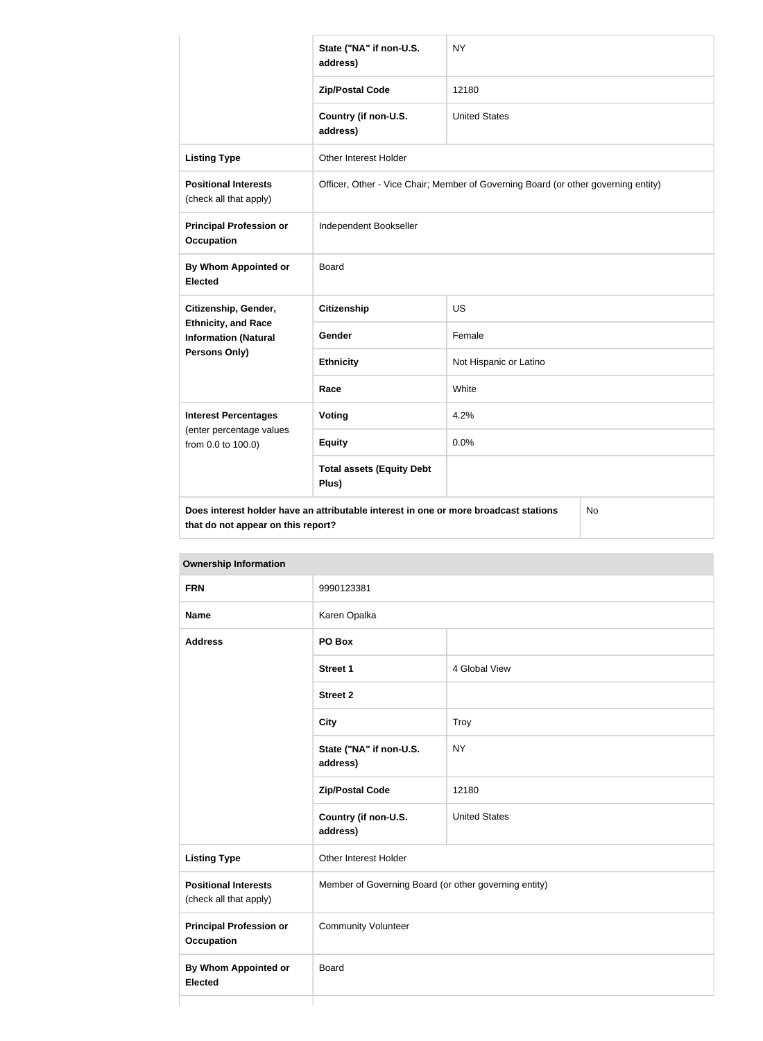|                                                           | State ("NA" if non-U.S.<br>address)                                                  | <b>NY</b>                                                                          |    |
|-----------------------------------------------------------|--------------------------------------------------------------------------------------|------------------------------------------------------------------------------------|----|
|                                                           | <b>Zip/Postal Code</b>                                                               | 12180                                                                              |    |
|                                                           | Country (if non-U.S.<br>address)                                                     | <b>United States</b>                                                               |    |
| <b>Listing Type</b>                                       | Other Interest Holder                                                                |                                                                                    |    |
| <b>Positional Interests</b><br>(check all that apply)     |                                                                                      | Officer, Other - Vice Chair; Member of Governing Board (or other governing entity) |    |
| <b>Principal Profession or</b><br><b>Occupation</b>       | Independent Bookseller                                                               |                                                                                    |    |
| By Whom Appointed or<br><b>Elected</b>                    | Board                                                                                |                                                                                    |    |
| Citizenship, Gender,                                      | <b>Citizenship</b>                                                                   | <b>US</b>                                                                          |    |
| <b>Ethnicity, and Race</b><br><b>Information (Natural</b> | Gender                                                                               | Female                                                                             |    |
| <b>Persons Only)</b>                                      | <b>Ethnicity</b>                                                                     | Not Hispanic or Latino                                                             |    |
|                                                           | Race                                                                                 | White                                                                              |    |
| <b>Interest Percentages</b>                               | Voting                                                                               | 4.2%                                                                               |    |
| (enter percentage values<br>from 0.0 to 100.0)            | <b>Equity</b>                                                                        | 0.0%                                                                               |    |
|                                                           | <b>Total assets (Equity Debt</b><br>Plus)                                            |                                                                                    |    |
| that do not appear on this report?                        | Does interest holder have an attributable interest in one or more broadcast stations |                                                                                    | No |

**Ownership Information FRN** 9990123381 **Name** Karen Opalka **Address PO Box Street 1** 4 Global View **Street 2 City** Troy **State ("NA" if non-U.S. address)** NY **Zip/Postal Code** 12180 **Country (if non-U.S. address)** United States **Listing Type Communist Communist Property** Other Interest Holder **Positional Interests** (check all that apply) Member of Governing Board (or other governing entity) **Principal Profession or Occupation** Community Volunteer **By Whom Appointed or Elected** Board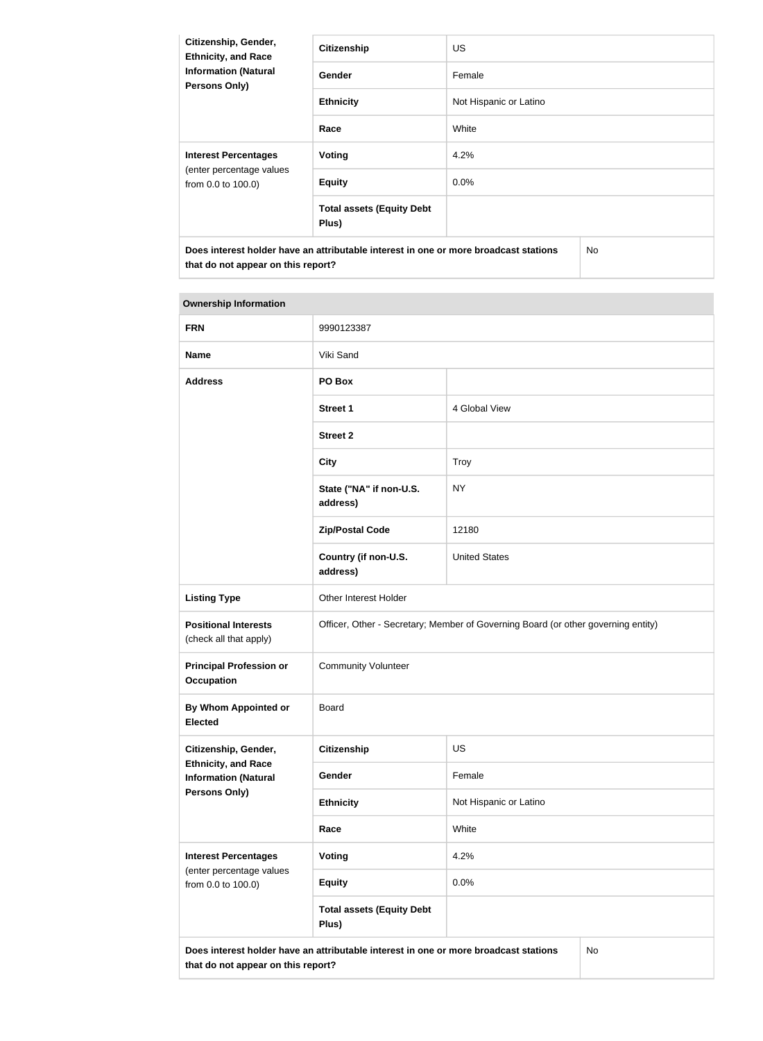| Citizenship, Gender,<br><b>Ethnicity, and Race</b>  | <b>Citizenship</b>                                                                   | <b>US</b>              |     |
|-----------------------------------------------------|--------------------------------------------------------------------------------------|------------------------|-----|
| <b>Information (Natural</b><br><b>Persons Only)</b> | Gender                                                                               | Female                 |     |
|                                                     | <b>Ethnicity</b>                                                                     | Not Hispanic or Latino |     |
|                                                     | Race                                                                                 | White                  |     |
| <b>Interest Percentages</b>                         | Voting                                                                               | 4.2%                   |     |
| (enter percentage values<br>from 0.0 to 100.0)      | <b>Equity</b>                                                                        | $0.0\%$                |     |
|                                                     | <b>Total assets (Equity Debt</b><br>Plus)                                            |                        |     |
|                                                     | Does interest holder have an attributable interest in one or more broadcast stations |                        | No. |

| <b>FRN</b>                                                | 9990123387                                                                           |                                                                                   |
|-----------------------------------------------------------|--------------------------------------------------------------------------------------|-----------------------------------------------------------------------------------|
| <b>Name</b>                                               | Viki Sand                                                                            |                                                                                   |
| <b>Address</b>                                            | PO Box                                                                               |                                                                                   |
|                                                           | <b>Street 1</b>                                                                      | 4 Global View                                                                     |
|                                                           | <b>Street 2</b>                                                                      |                                                                                   |
|                                                           | <b>City</b>                                                                          | Troy                                                                              |
|                                                           | State ("NA" if non-U.S.<br>address)                                                  | <b>NY</b>                                                                         |
|                                                           | <b>Zip/Postal Code</b>                                                               | 12180                                                                             |
|                                                           | Country (if non-U.S.<br>address)                                                     | <b>United States</b>                                                              |
| <b>Listing Type</b>                                       | Other Interest Holder                                                                |                                                                                   |
| <b>Positional Interests</b><br>(check all that apply)     |                                                                                      | Officer, Other - Secretary; Member of Governing Board (or other governing entity) |
| <b>Principal Profession or</b><br><b>Occupation</b>       | <b>Community Volunteer</b>                                                           |                                                                                   |
| <b>By Whom Appointed or</b><br><b>Elected</b>             | <b>Board</b>                                                                         |                                                                                   |
| Citizenship, Gender,                                      | Citizenship                                                                          | <b>US</b>                                                                         |
| <b>Ethnicity, and Race</b><br><b>Information (Natural</b> | Gender                                                                               | Female                                                                            |
| <b>Persons Only)</b>                                      | <b>Ethnicity</b>                                                                     | Not Hispanic or Latino                                                            |
|                                                           | Race                                                                                 | White                                                                             |
| <b>Interest Percentages</b><br>(enter percentage values   | <b>Voting</b>                                                                        | 4.2%                                                                              |
| from 0.0 to 100.0)                                        | <b>Equity</b>                                                                        | 0.0%                                                                              |
|                                                           | <b>Total assets (Equity Debt</b><br>Plus)                                            |                                                                                   |
| that do not appear on this report?                        | Does interest holder have an attributable interest in one or more broadcast stations | No                                                                                |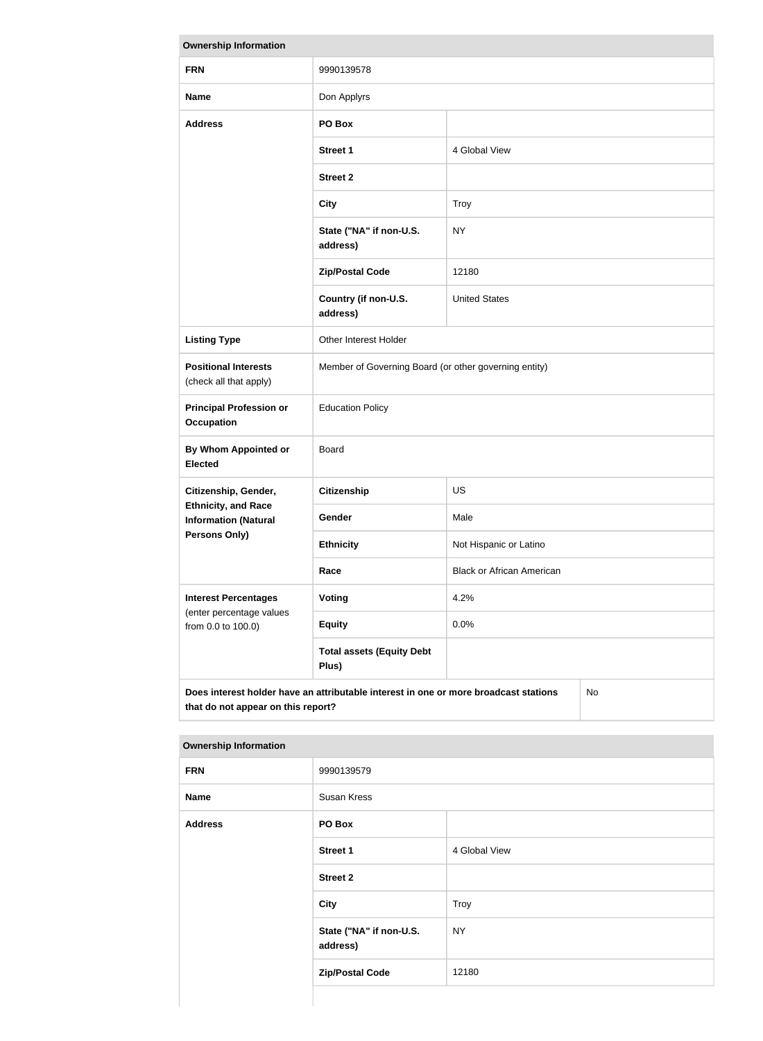| <b>Ownership Information</b>                              |                                                                                      |                                  |    |
|-----------------------------------------------------------|--------------------------------------------------------------------------------------|----------------------------------|----|
| <b>FRN</b>                                                | 9990139578                                                                           |                                  |    |
| <b>Name</b>                                               | Don Applyrs                                                                          |                                  |    |
| <b>Address</b>                                            | PO Box                                                                               |                                  |    |
|                                                           | <b>Street 1</b>                                                                      | 4 Global View                    |    |
|                                                           | <b>Street 2</b>                                                                      |                                  |    |
|                                                           | <b>City</b>                                                                          | <b>Troy</b>                      |    |
|                                                           | State ("NA" if non-U.S.<br>address)                                                  | <b>NY</b>                        |    |
|                                                           | <b>Zip/Postal Code</b>                                                               | 12180                            |    |
|                                                           | Country (if non-U.S.<br>address)                                                     | <b>United States</b>             |    |
| <b>Listing Type</b>                                       | Other Interest Holder                                                                |                                  |    |
| <b>Positional Interests</b><br>(check all that apply)     | Member of Governing Board (or other governing entity)                                |                                  |    |
| <b>Principal Profession or</b><br><b>Occupation</b>       | <b>Education Policy</b>                                                              |                                  |    |
| <b>By Whom Appointed or</b><br><b>Elected</b>             | Board                                                                                |                                  |    |
| Citizenship, Gender,                                      | <b>Citizenship</b>                                                                   | <b>US</b>                        |    |
| <b>Ethnicity, and Race</b><br><b>Information (Natural</b> | <b>Gender</b>                                                                        | Male                             |    |
| Persons Only)                                             | <b>Ethnicity</b>                                                                     | Not Hispanic or Latino           |    |
|                                                           | Race                                                                                 | <b>Black or African American</b> |    |
| <b>Interest Percentages</b>                               | Voting                                                                               | 4.2%                             |    |
| (enter percentage values<br>from 0.0 to 100.0)            | <b>Equity</b>                                                                        | 0.0%                             |    |
|                                                           | <b>Total assets (Equity Debt</b><br>Plus)                                            |                                  |    |
| that do not appear on this report?                        | Does interest holder have an attributable interest in one or more broadcast stations |                                  | No |

| <b>Ownership Information</b> |                                     |               |
|------------------------------|-------------------------------------|---------------|
| <b>FRN</b>                   | 9990139579                          |               |
| <b>Name</b>                  | Susan Kress                         |               |
| <b>Address</b>               | PO Box                              |               |
|                              | Street 1                            | 4 Global View |
|                              | <b>Street 2</b>                     |               |
|                              | City                                | Troy          |
|                              | State ("NA" if non-U.S.<br>address) | <b>NY</b>     |
|                              | <b>Zip/Postal Code</b>              | 12180         |
|                              |                                     |               |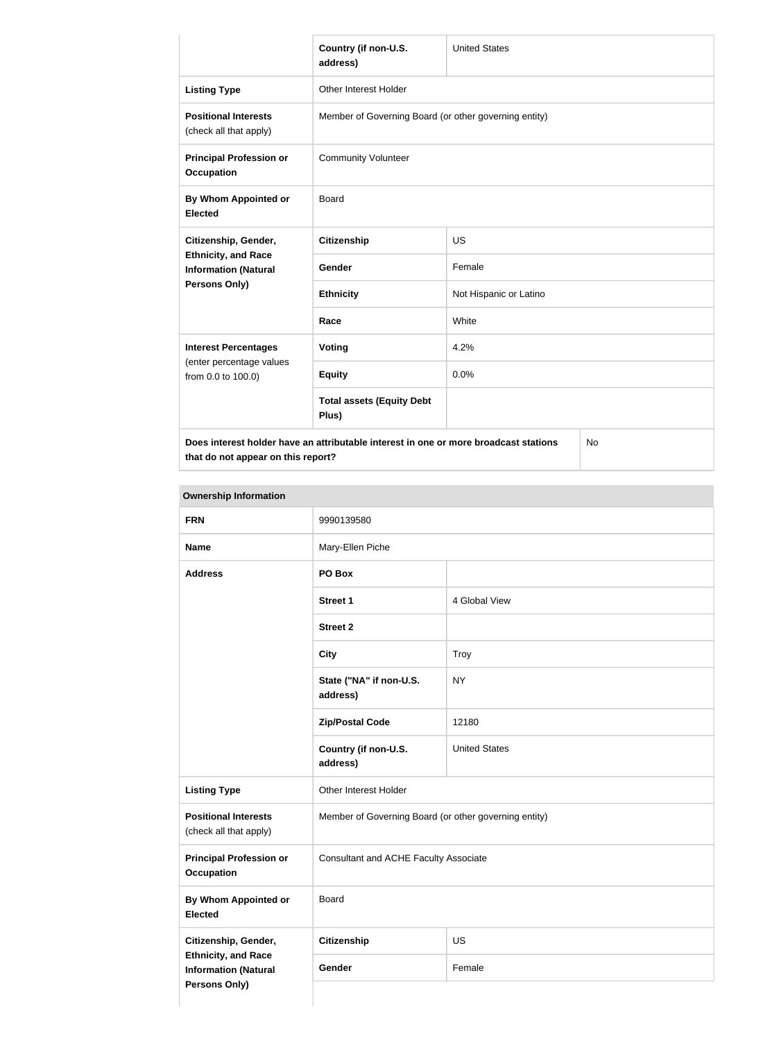|                                                           | Country (if non-U.S.<br>address)                                                     | <b>United States</b>   |  |
|-----------------------------------------------------------|--------------------------------------------------------------------------------------|------------------------|--|
| <b>Listing Type</b>                                       | <b>Other Interest Holder</b>                                                         |                        |  |
| <b>Positional Interests</b><br>(check all that apply)     | Member of Governing Board (or other governing entity)                                |                        |  |
| <b>Principal Profession or</b><br><b>Occupation</b>       | <b>Community Volunteer</b>                                                           |                        |  |
| By Whom Appointed or<br><b>Elected</b>                    | <b>Board</b>                                                                         |                        |  |
| Citizenship, Gender,                                      | <b>Citizenship</b>                                                                   | <b>US</b>              |  |
| <b>Ethnicity, and Race</b><br><b>Information (Natural</b> | <b>Gender</b>                                                                        | Female                 |  |
| Persons Only)                                             | <b>Ethnicity</b>                                                                     | Not Hispanic or Latino |  |
|                                                           | Race                                                                                 | White                  |  |
| <b>Interest Percentages</b>                               | Voting                                                                               | 4.2%                   |  |
| (enter percentage values<br>from 0.0 to 100.0)            | <b>Equity</b>                                                                        | 0.0%                   |  |
|                                                           | <b>Total assets (Equity Debt</b><br>Plus)                                            |                        |  |
|                                                           | Does interest holder have an attributable interest in one or more broadcast stations | No                     |  |

No

| <b>FRN</b>                                                                        | 9990139580                                            |                      |
|-----------------------------------------------------------------------------------|-------------------------------------------------------|----------------------|
| <b>Name</b>                                                                       | Mary-Ellen Piche                                      |                      |
| <b>Address</b>                                                                    | PO Box                                                |                      |
|                                                                                   | <b>Street 1</b>                                       | 4 Global View        |
|                                                                                   | <b>Street 2</b>                                       |                      |
|                                                                                   | <b>City</b>                                           | Troy                 |
|                                                                                   | State ("NA" if non-U.S.<br>address)                   | <b>NY</b>            |
|                                                                                   | <b>Zip/Postal Code</b>                                | 12180                |
|                                                                                   | Country (if non-U.S.<br>address)                      | <b>United States</b> |
| <b>Listing Type</b>                                                               | Other Interest Holder                                 |                      |
| <b>Positional Interests</b><br>(check all that apply)                             | Member of Governing Board (or other governing entity) |                      |
| <b>Principal Profession or</b><br><b>Occupation</b>                               | <b>Consultant and ACHE Faculty Associate</b>          |                      |
| <b>By Whom Appointed or</b><br><b>Elected</b>                                     | Board                                                 |                      |
| Citizenship, Gender,                                                              | <b>Citizenship</b>                                    | US                   |
| <b>Ethnicity, and Race</b><br><b>Information (Natural</b><br><b>Persons Only)</b> | Gender                                                | Female               |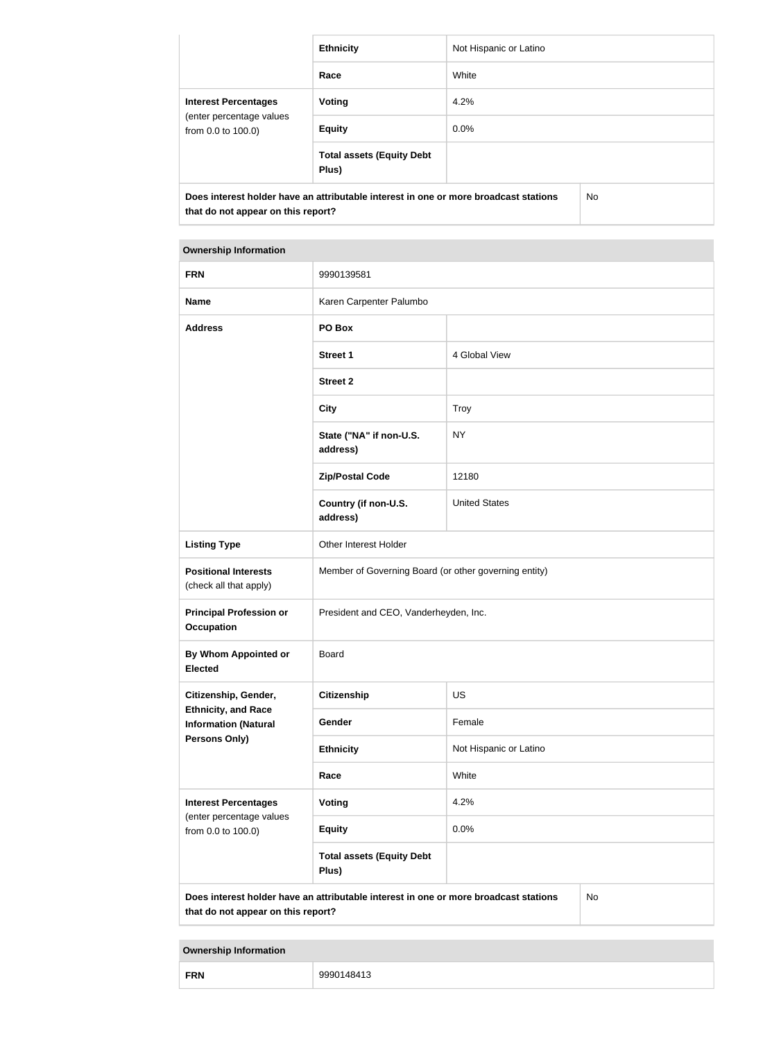|                                                | <b>Ethnicity</b>                                                                     | Not Hispanic or Latino |     |
|------------------------------------------------|--------------------------------------------------------------------------------------|------------------------|-----|
|                                                | Race                                                                                 | White                  |     |
| <b>Interest Percentages</b>                    | Voting                                                                               | 4.2%                   |     |
| (enter percentage values<br>from 0.0 to 100.0) | <b>Equity</b>                                                                        | 0.0%                   |     |
|                                                | <b>Total assets (Equity Debt</b><br>Plus)                                            |                        |     |
| that do not appear on this report?             | Does interest holder have an attributable interest in one or more broadcast stations |                        | No. |

| <b>FRN</b>                                                | 9990139581                                                                           |                        |           |
|-----------------------------------------------------------|--------------------------------------------------------------------------------------|------------------------|-----------|
| <b>Name</b>                                               | Karen Carpenter Palumbo                                                              |                        |           |
| <b>Address</b>                                            | PO Box                                                                               |                        |           |
|                                                           | <b>Street 1</b>                                                                      | 4 Global View          |           |
|                                                           | <b>Street 2</b>                                                                      |                        |           |
|                                                           | <b>City</b>                                                                          | <b>Troy</b>            |           |
|                                                           | State ("NA" if non-U.S.<br>address)                                                  | <b>NY</b>              |           |
|                                                           | <b>Zip/Postal Code</b>                                                               | 12180                  |           |
|                                                           | Country (if non-U.S.<br>address)                                                     | <b>United States</b>   |           |
| <b>Listing Type</b>                                       | Other Interest Holder                                                                |                        |           |
| <b>Positional Interests</b><br>(check all that apply)     | Member of Governing Board (or other governing entity)                                |                        |           |
| <b>Principal Profession or</b><br><b>Occupation</b>       | President and CEO, Vanderheyden, Inc.                                                |                        |           |
| By Whom Appointed or<br><b>Elected</b>                    | <b>Board</b>                                                                         |                        |           |
| Citizenship, Gender,                                      | <b>Citizenship</b>                                                                   | <b>US</b>              |           |
| <b>Ethnicity, and Race</b><br><b>Information (Natural</b> | Gender                                                                               | Female                 |           |
| <b>Persons Only)</b>                                      | <b>Ethnicity</b>                                                                     | Not Hispanic or Latino |           |
|                                                           | Race                                                                                 | White                  |           |
| <b>Interest Percentages</b><br>(enter percentage values   | <b>Voting</b>                                                                        | 4.2%                   |           |
| from 0.0 to 100.0)                                        | <b>Equity</b>                                                                        | 0.0%                   |           |
|                                                           | <b>Total assets (Equity Debt</b><br>Plus)                                            |                        |           |
| that do not appear on this report?                        | Does interest holder have an attributable interest in one or more broadcast stations |                        | <b>No</b> |

|--|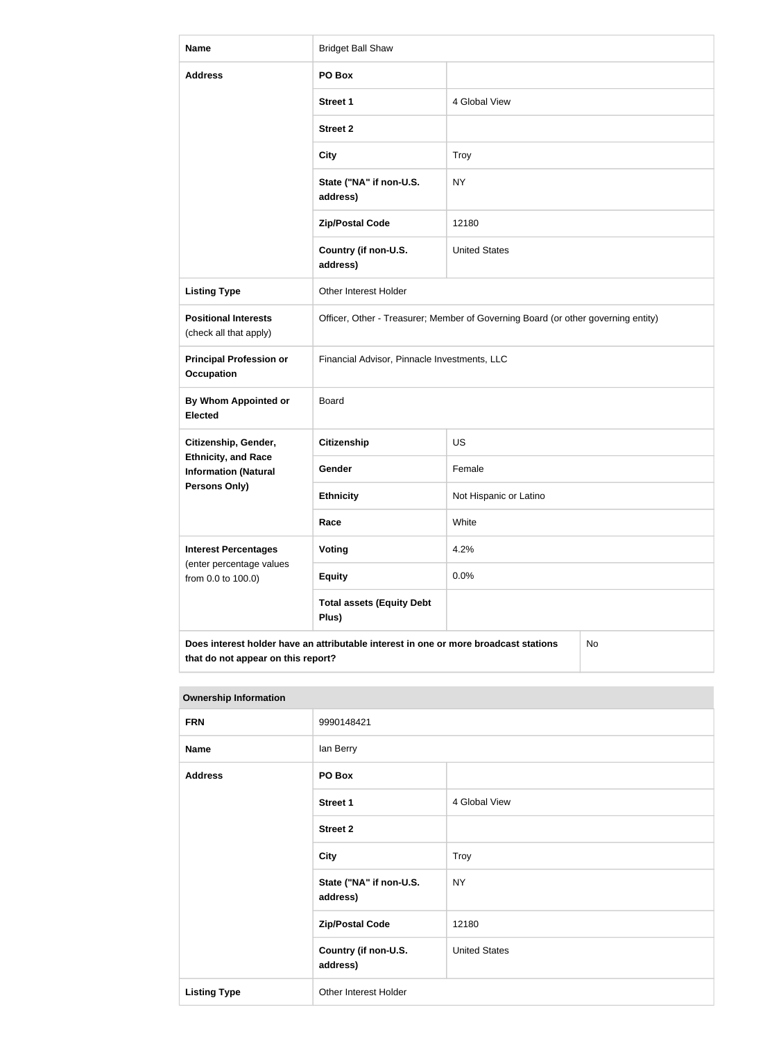| <b>Name</b>                                                                                                                             | <b>Bridget Ball Shaw</b>                                                          |                        |  |
|-----------------------------------------------------------------------------------------------------------------------------------------|-----------------------------------------------------------------------------------|------------------------|--|
| <b>Address</b>                                                                                                                          | PO Box                                                                            |                        |  |
|                                                                                                                                         | <b>Street 1</b>                                                                   | 4 Global View          |  |
|                                                                                                                                         | <b>Street 2</b>                                                                   |                        |  |
|                                                                                                                                         | <b>City</b>                                                                       | <b>Troy</b>            |  |
|                                                                                                                                         | State ("NA" if non-U.S.<br>address)                                               | <b>NY</b>              |  |
|                                                                                                                                         | <b>Zip/Postal Code</b>                                                            | 12180                  |  |
|                                                                                                                                         | Country (if non-U.S.<br>address)                                                  | <b>United States</b>   |  |
| <b>Listing Type</b>                                                                                                                     | <b>Other Interest Holder</b>                                                      |                        |  |
| <b>Positional Interests</b><br>(check all that apply)                                                                                   | Officer, Other - Treasurer; Member of Governing Board (or other governing entity) |                        |  |
| <b>Principal Profession or</b><br><b>Occupation</b>                                                                                     | Financial Advisor, Pinnacle Investments, LLC                                      |                        |  |
| By Whom Appointed or<br><b>Elected</b>                                                                                                  | Board                                                                             |                        |  |
| Citizenship, Gender,                                                                                                                    | <b>Citizenship</b>                                                                | <b>US</b>              |  |
| <b>Ethnicity, and Race</b><br><b>Information (Natural</b>                                                                               | Gender                                                                            | Female                 |  |
| Persons Only)                                                                                                                           | <b>Ethnicity</b>                                                                  | Not Hispanic or Latino |  |
|                                                                                                                                         | Race                                                                              | White                  |  |
| <b>Interest Percentages</b><br>(enter percentage values                                                                                 | Voting                                                                            | 4.2%                   |  |
| from 0.0 to 100.0)                                                                                                                      | <b>Equity</b>                                                                     | 0.0%                   |  |
|                                                                                                                                         | <b>Total assets (Equity Debt</b><br>Plus)                                         |                        |  |
| Does interest holder have an attributable interest in one or more broadcast stations<br><b>No</b><br>that do not appear on this report? |                                                                                   |                        |  |

| <b>Ownership Information</b> |                                     |                      |
|------------------------------|-------------------------------------|----------------------|
| <b>FRN</b>                   | 9990148421                          |                      |
| <b>Name</b>                  | lan Berry                           |                      |
| <b>Address</b>               | PO Box                              |                      |
|                              | <b>Street 1</b>                     | 4 Global View        |
|                              | <b>Street 2</b>                     |                      |
|                              | <b>City</b>                         | Troy                 |
|                              | State ("NA" if non-U.S.<br>address) | <b>NY</b>            |
|                              | <b>Zip/Postal Code</b>              | 12180                |
|                              | Country (if non-U.S.<br>address)    | <b>United States</b> |
| <b>Listing Type</b>          | Other Interest Holder               |                      |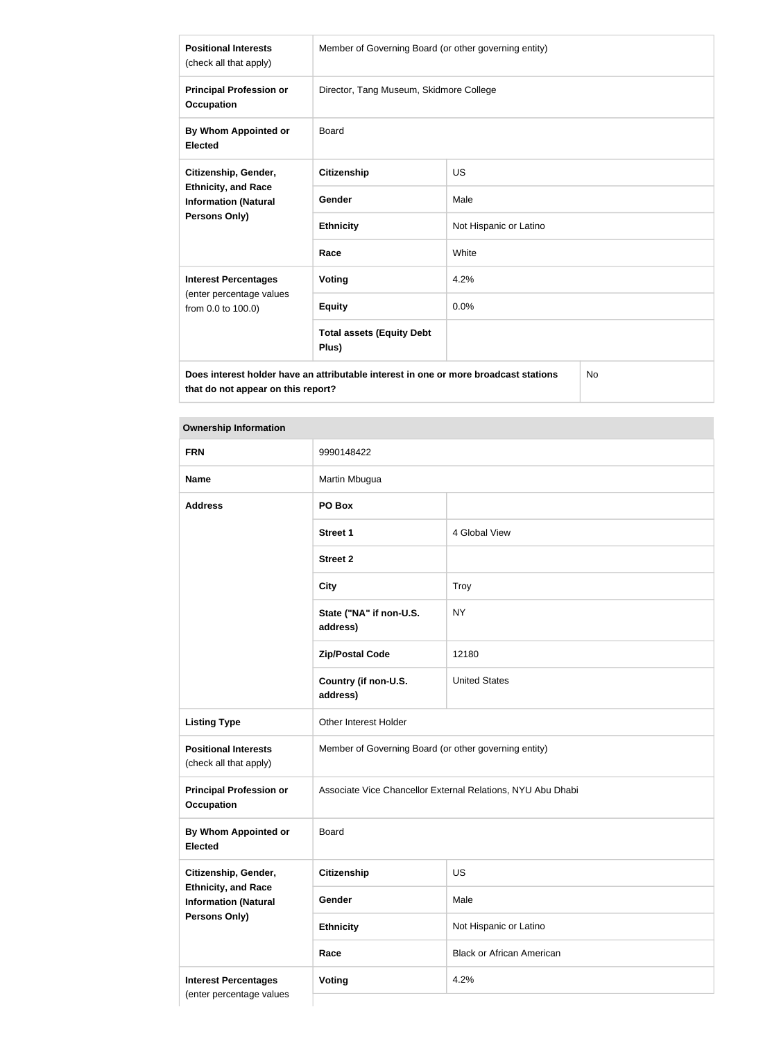| <b>Positional Interests</b><br>(check all that apply)                                       | Member of Governing Board (or other governing entity) |                        |  |
|---------------------------------------------------------------------------------------------|-------------------------------------------------------|------------------------|--|
| <b>Principal Profession or</b><br><b>Occupation</b>                                         | Director, Tang Museum, Skidmore College               |                        |  |
| By Whom Appointed or<br><b>Elected</b>                                                      | <b>Board</b>                                          |                        |  |
| Citizenship, Gender,<br><b>Ethnicity, and Race</b><br><b>Information (Natural</b>           | <b>Citizenship</b>                                    | <b>US</b>              |  |
|                                                                                             | <b>Gender</b>                                         | Male                   |  |
| Persons Only)                                                                               | <b>Ethnicity</b>                                      | Not Hispanic or Latino |  |
|                                                                                             | Race                                                  | White                  |  |
| <b>Interest Percentages</b>                                                                 | <b>Voting</b>                                         | 4.2%                   |  |
| (enter percentage values<br>from 0.0 to 100.0)                                              | <b>Equity</b>                                         | 0.0%                   |  |
|                                                                                             | <b>Total assets (Equity Debt</b><br>Plus)             |                        |  |
| Does interest holder have an attributable interest in one or more broadcast stations<br>No. |                                                       |                        |  |

**Does interest holder have an attributable interest in one or more broadcast stations that do not appear on this report?**

| <b>FRN</b>                                                | 9990148422                                                  |                                  |  |
|-----------------------------------------------------------|-------------------------------------------------------------|----------------------------------|--|
| <b>Name</b>                                               | Martin Mbugua                                               |                                  |  |
| <b>Address</b>                                            | PO Box                                                      |                                  |  |
|                                                           | <b>Street 1</b>                                             | 4 Global View                    |  |
|                                                           | <b>Street 2</b>                                             |                                  |  |
|                                                           | <b>City</b>                                                 | <b>Troy</b>                      |  |
|                                                           | State ("NA" if non-U.S.<br>address)                         | <b>NY</b>                        |  |
|                                                           | <b>Zip/Postal Code</b>                                      | 12180                            |  |
|                                                           | Country (if non-U.S.<br>address)                            | <b>United States</b>             |  |
| <b>Listing Type</b>                                       | Other Interest Holder                                       |                                  |  |
| <b>Positional Interests</b><br>(check all that apply)     | Member of Governing Board (or other governing entity)       |                                  |  |
| <b>Principal Profession or</b><br><b>Occupation</b>       | Associate Vice Chancellor External Relations, NYU Abu Dhabi |                                  |  |
| By Whom Appointed or<br><b>Elected</b>                    | <b>Board</b>                                                |                                  |  |
| Citizenship, Gender,                                      | <b>Citizenship</b>                                          | US                               |  |
| <b>Ethnicity, and Race</b><br><b>Information (Natural</b> | Gender                                                      | Male                             |  |
| <b>Persons Only)</b>                                      | <b>Ethnicity</b>                                            | Not Hispanic or Latino           |  |
|                                                           | Race                                                        | <b>Black or African American</b> |  |
| <b>Interest Percentages</b><br>(enter percentage values   | <b>Voting</b>                                               | 4.2%                             |  |
|                                                           |                                                             |                                  |  |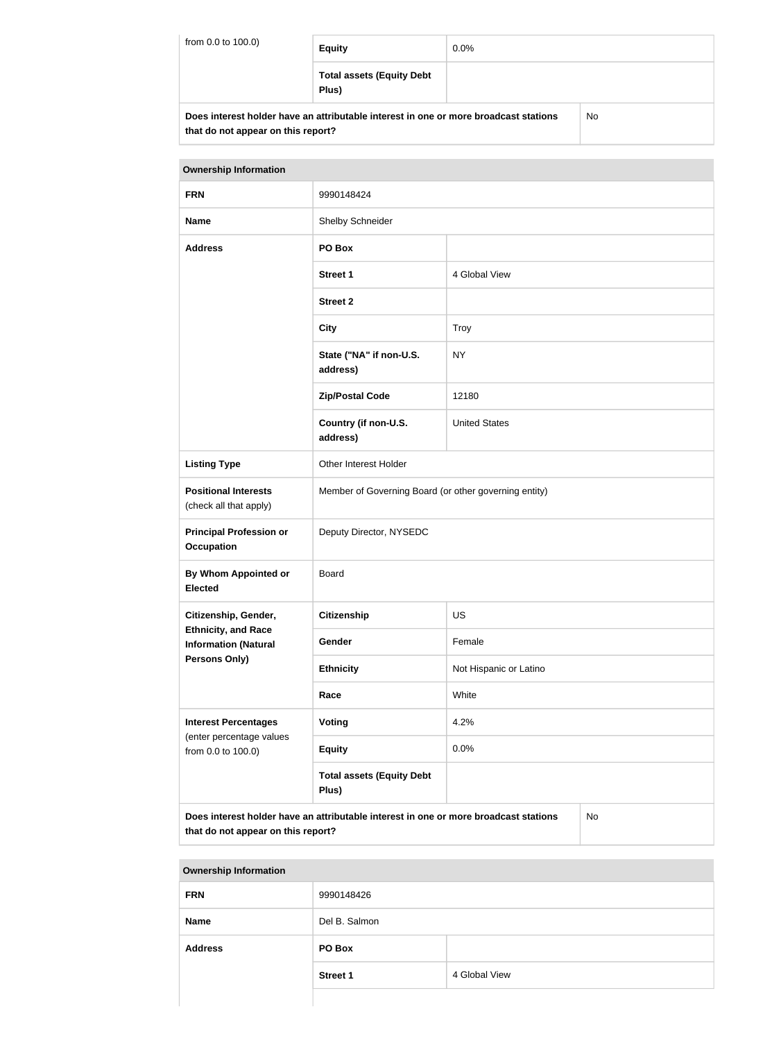| from 0.0 to 100.0) | <b>Equity</b>                                                                        | $0.0\%$ |     |
|--------------------|--------------------------------------------------------------------------------------|---------|-----|
|                    | <b>Total assets (Equity Debt</b><br>Plus)                                            |         |     |
|                    | Does interest holder have an attributable interest in one or more broadcast stations |         | No. |

| <b>Ownership Information</b>                                                                                                     |                                                       |                        |  |
|----------------------------------------------------------------------------------------------------------------------------------|-------------------------------------------------------|------------------------|--|
| <b>FRN</b>                                                                                                                       | 9990148424                                            |                        |  |
| <b>Name</b>                                                                                                                      | Shelby Schneider                                      |                        |  |
| <b>Address</b>                                                                                                                   | PO Box                                                |                        |  |
|                                                                                                                                  | <b>Street 1</b>                                       | 4 Global View          |  |
|                                                                                                                                  | <b>Street 2</b>                                       |                        |  |
|                                                                                                                                  | <b>City</b>                                           | <b>Troy</b>            |  |
|                                                                                                                                  | State ("NA" if non-U.S.<br>address)                   | <b>NY</b>              |  |
|                                                                                                                                  | <b>Zip/Postal Code</b>                                | 12180                  |  |
|                                                                                                                                  | Country (if non-U.S.<br>address)                      | <b>United States</b>   |  |
| <b>Listing Type</b>                                                                                                              | Other Interest Holder                                 |                        |  |
| <b>Positional Interests</b><br>(check all that apply)                                                                            | Member of Governing Board (or other governing entity) |                        |  |
| <b>Principal Profession or</b><br><b>Occupation</b>                                                                              | Deputy Director, NYSEDC                               |                        |  |
| By Whom Appointed or<br><b>Elected</b>                                                                                           | Board                                                 |                        |  |
| Citizenship, Gender,                                                                                                             | <b>Citizenship</b>                                    | <b>US</b>              |  |
| <b>Ethnicity, and Race</b><br><b>Information (Natural</b>                                                                        | Gender                                                | Female                 |  |
| <b>Persons Only)</b>                                                                                                             | <b>Ethnicity</b>                                      | Not Hispanic or Latino |  |
|                                                                                                                                  | Race                                                  | White                  |  |
| <b>Interest Percentages</b>                                                                                                      | <b>Voting</b>                                         | 4.2%                   |  |
| (enter percentage values<br>from 0.0 to 100.0)                                                                                   | <b>Equity</b>                                         | 0.0%                   |  |
|                                                                                                                                  | <b>Total assets (Equity Debt</b><br>Plus)             |                        |  |
| Does interest holder have an attributable interest in one or more broadcast stations<br>No<br>that do not appear on this report? |                                                       |                        |  |

| <b>Ownership Information</b> |                 |               |
|------------------------------|-----------------|---------------|
| <b>FRN</b>                   | 9990148426      |               |
| <b>Name</b>                  | Del B. Salmon   |               |
| <b>Address</b>               | PO Box          |               |
|                              | <b>Street 1</b> | 4 Global View |
|                              |                 |               |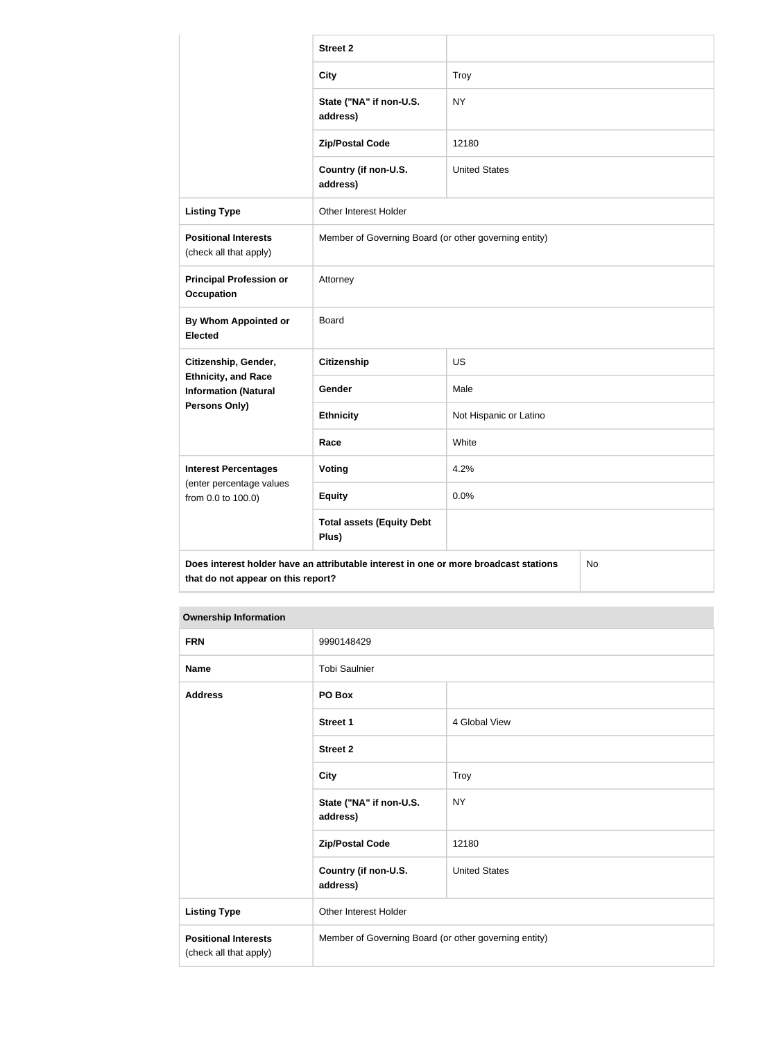|                                                           | <b>Street 2</b>                                                                      |                        |    |
|-----------------------------------------------------------|--------------------------------------------------------------------------------------|------------------------|----|
|                                                           | <b>City</b>                                                                          | <b>Troy</b>            |    |
|                                                           | State ("NA" if non-U.S.<br>address)                                                  | <b>NY</b>              |    |
|                                                           | <b>Zip/Postal Code</b>                                                               | 12180                  |    |
|                                                           | Country (if non-U.S.<br>address)                                                     | <b>United States</b>   |    |
| <b>Listing Type</b>                                       | Other Interest Holder                                                                |                        |    |
| <b>Positional Interests</b><br>(check all that apply)     | Member of Governing Board (or other governing entity)                                |                        |    |
| <b>Principal Profession or</b><br><b>Occupation</b>       | Attorney                                                                             |                        |    |
| <b>By Whom Appointed or</b><br><b>Elected</b>             | <b>Board</b>                                                                         |                        |    |
| Citizenship, Gender,                                      | <b>Citizenship</b>                                                                   | <b>US</b>              |    |
| <b>Ethnicity, and Race</b><br><b>Information (Natural</b> | Gender                                                                               | Male                   |    |
| <b>Persons Only)</b>                                      | <b>Ethnicity</b>                                                                     | Not Hispanic or Latino |    |
|                                                           | Race                                                                                 | White                  |    |
| <b>Interest Percentages</b>                               | Voting                                                                               | 4.2%                   |    |
| (enter percentage values<br>from 0.0 to 100.0)            | <b>Equity</b>                                                                        | 0.0%                   |    |
|                                                           | <b>Total assets (Equity Debt</b><br>Plus)                                            |                        |    |
| that do not appear on this report?                        | Does interest holder have an attributable interest in one or more broadcast stations |                        | No |

| <b>FRN</b>                                            | 9990148429                                            |                      |
|-------------------------------------------------------|-------------------------------------------------------|----------------------|
| <b>Name</b>                                           | <b>Tobi Saulnier</b>                                  |                      |
| <b>Address</b>                                        | PO Box                                                |                      |
|                                                       | <b>Street 1</b>                                       | 4 Global View        |
|                                                       | <b>Street 2</b>                                       |                      |
|                                                       | <b>City</b>                                           | Troy                 |
|                                                       | State ("NA" if non-U.S.<br>address)                   | <b>NY</b>            |
|                                                       | <b>Zip/Postal Code</b>                                | 12180                |
|                                                       | Country (if non-U.S.<br>address)                      | <b>United States</b> |
| <b>Listing Type</b>                                   | Other Interest Holder                                 |                      |
| <b>Positional Interests</b><br>(check all that apply) | Member of Governing Board (or other governing entity) |                      |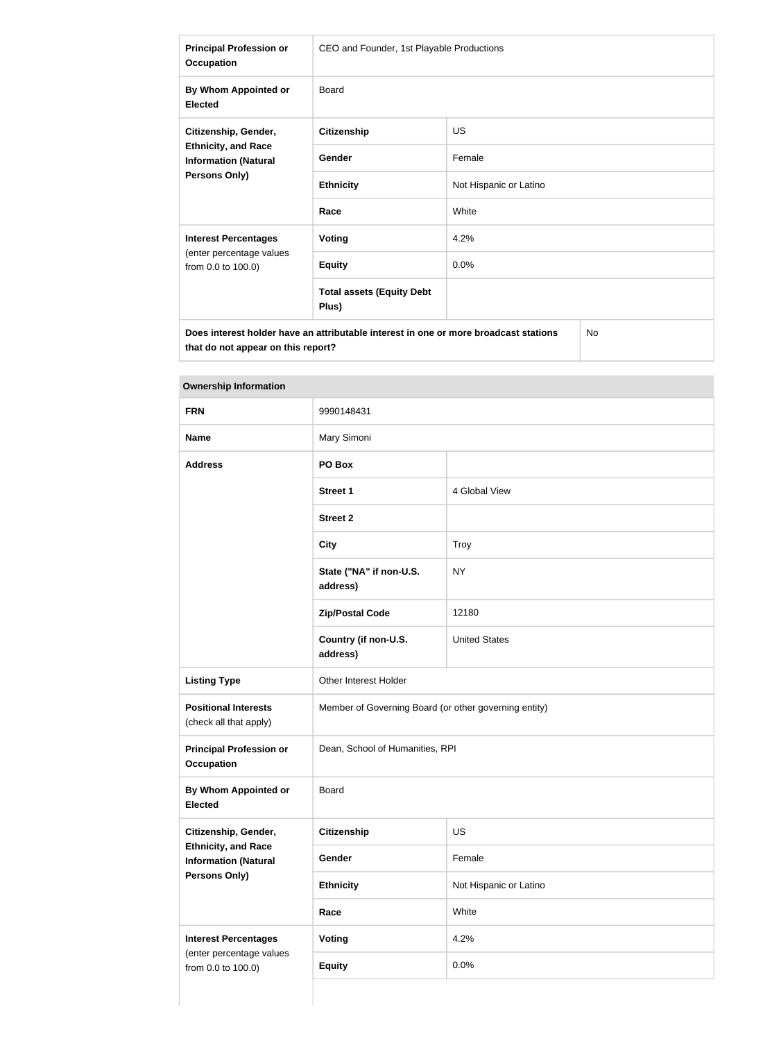| <b>Principal Profession or</b><br><b>Occupation</b>                                                       | CEO and Founder, 1st Playable Productions |                        |  |
|-----------------------------------------------------------------------------------------------------------|-------------------------------------------|------------------------|--|
| By Whom Appointed or<br><b>Elected</b>                                                                    | <b>Board</b>                              |                        |  |
| Citizenship, Gender,<br><b>Ethnicity, and Race</b><br><b>Information (Natural</b><br><b>Persons Only)</b> | <b>Citizenship</b>                        | <b>US</b>              |  |
|                                                                                                           | Gender                                    | Female                 |  |
|                                                                                                           | <b>Ethnicity</b>                          | Not Hispanic or Latino |  |
|                                                                                                           | Race                                      | White                  |  |
| <b>Interest Percentages</b>                                                                               | Voting                                    | 4.2%                   |  |
| (enter percentage values<br>from 0.0 to 100.0)                                                            | <b>Equity</b>                             | 0.0%                   |  |
|                                                                                                           | <b>Total assets (Equity Debt</b><br>Plus) |                        |  |
| No<br>Does interest holder have an attributable interest in one or more broadcast stations                |                                           |                        |  |

| <b>FRN</b>                                                | 9990148431                                               |                        |  |
|-----------------------------------------------------------|----------------------------------------------------------|------------------------|--|
| <b>Name</b>                                               | Mary Simoni                                              |                        |  |
| <b>Address</b>                                            | PO Box                                                   |                        |  |
|                                                           | <b>Street 1</b>                                          | 4 Global View          |  |
|                                                           | <b>Street 2</b>                                          |                        |  |
|                                                           | <b>City</b>                                              | Troy                   |  |
|                                                           | State ("NA" if non-U.S.<br>address)                      | <b>NY</b>              |  |
|                                                           | <b>Zip/Postal Code</b>                                   | 12180                  |  |
|                                                           | Country (if non-U.S.<br><b>United States</b><br>address) |                        |  |
| <b>Listing Type</b>                                       | Other Interest Holder                                    |                        |  |
| <b>Positional Interests</b><br>(check all that apply)     | Member of Governing Board (or other governing entity)    |                        |  |
| <b>Principal Profession or</b><br><b>Occupation</b>       | Dean, School of Humanities, RPI                          |                        |  |
| <b>By Whom Appointed or</b><br><b>Elected</b>             | <b>Board</b>                                             |                        |  |
| Citizenship, Gender,                                      | Citizenship                                              | US                     |  |
| <b>Ethnicity, and Race</b><br><b>Information (Natural</b> | Gender                                                   | Female                 |  |
| Persons Only)                                             | <b>Ethnicity</b>                                         | Not Hispanic or Latino |  |
|                                                           | Race                                                     | White                  |  |
| <b>Interest Percentages</b>                               | <b>Voting</b>                                            | 4.2%                   |  |
| (enter percentage values<br>from 0.0 to 100.0)            | <b>Equity</b>                                            | 0.0%                   |  |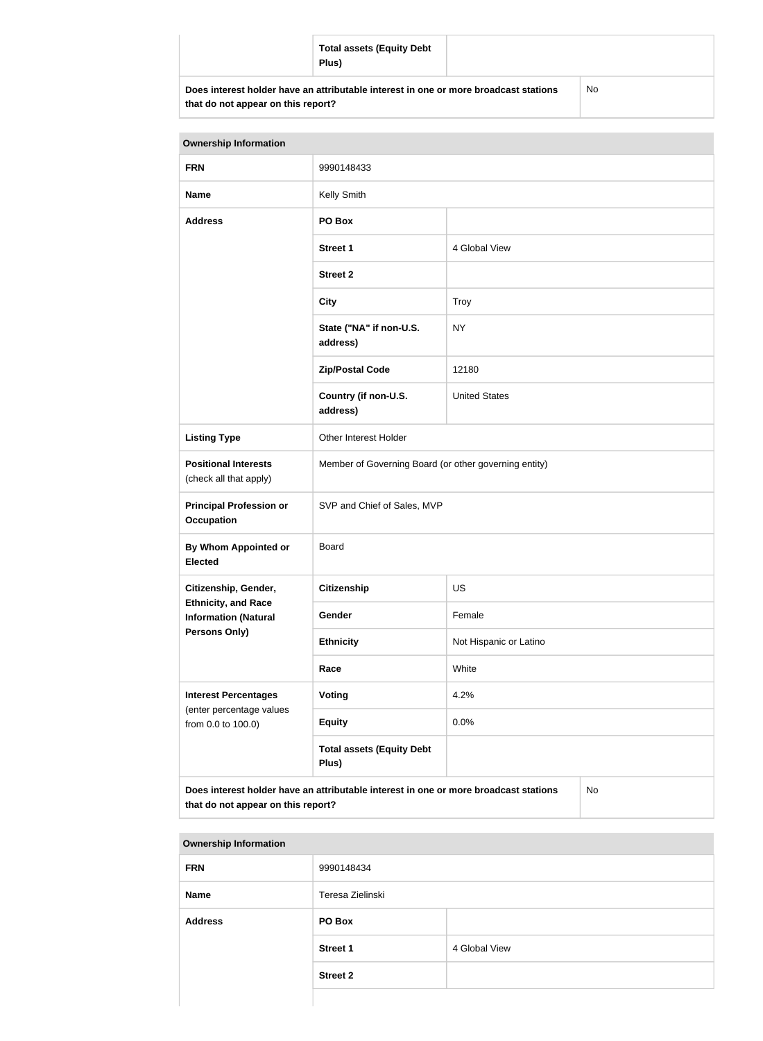|                                                                                                                            | <b>Total assets (Equity Debt</b><br>Plus) |    |
|----------------------------------------------------------------------------------------------------------------------------|-------------------------------------------|----|
| Does interest holder have an attributable interest in one or more broadcast stations<br>that do not appear on this report? |                                           | No |

| <b>Ownership Information</b>                          |                                                       |                      |
|-------------------------------------------------------|-------------------------------------------------------|----------------------|
| <b>FRN</b>                                            | 9990148433                                            |                      |
| <b>Name</b>                                           | Kelly Smith                                           |                      |
| <b>Address</b>                                        | PO Box                                                |                      |
|                                                       | <b>Street 1</b>                                       | 4 Global View        |
|                                                       | <b>Street 2</b>                                       |                      |
|                                                       | <b>City</b>                                           | Troy                 |
|                                                       | State ("NA" if non-U.S.<br>address)                   | <b>NY</b>            |
|                                                       | <b>Zip/Postal Code</b>                                | 12180                |
|                                                       | Country (if non-U.S.<br>address)                      | <b>United States</b> |
| <b>Listing Type</b>                                   | Other Interest Holder                                 |                      |
| <b>Positional Interests</b><br>(check all that apply) | Member of Governing Board (or other governing entity) |                      |
| <b>Principal Profession or</b><br><b>Occupation</b>   | SVP and Chief of Sales, MVP                           |                      |
| By Whom Appointed or<br><b>Elected</b>                | <b>Board</b>                                          |                      |

**Citizenship, Gender, Ethnicity, and Race Information (Natural Persons Only) Citizenship** US Gender Female **Ethnicity** Not Hispanic or Latino **Race** White **Interest Percentages** (enter percentage values from 0.0 to 100.0) **Voting** 4.2% **Equity** 0.0% **Total assets (Equity Debt Plus)**

**Does interest holder have an attributable interest in one or more broadcast stations that do not appear on this report?**

| <b>Ownership Information</b> |                  |               |  |  |
|------------------------------|------------------|---------------|--|--|
| <b>FRN</b>                   | 9990148434       |               |  |  |
| <b>Name</b>                  | Teresa Zielinski |               |  |  |
| <b>Address</b>               | PO Box           |               |  |  |
|                              | <b>Street 1</b>  | 4 Global View |  |  |
|                              | <b>Street 2</b>  |               |  |  |
|                              |                  |               |  |  |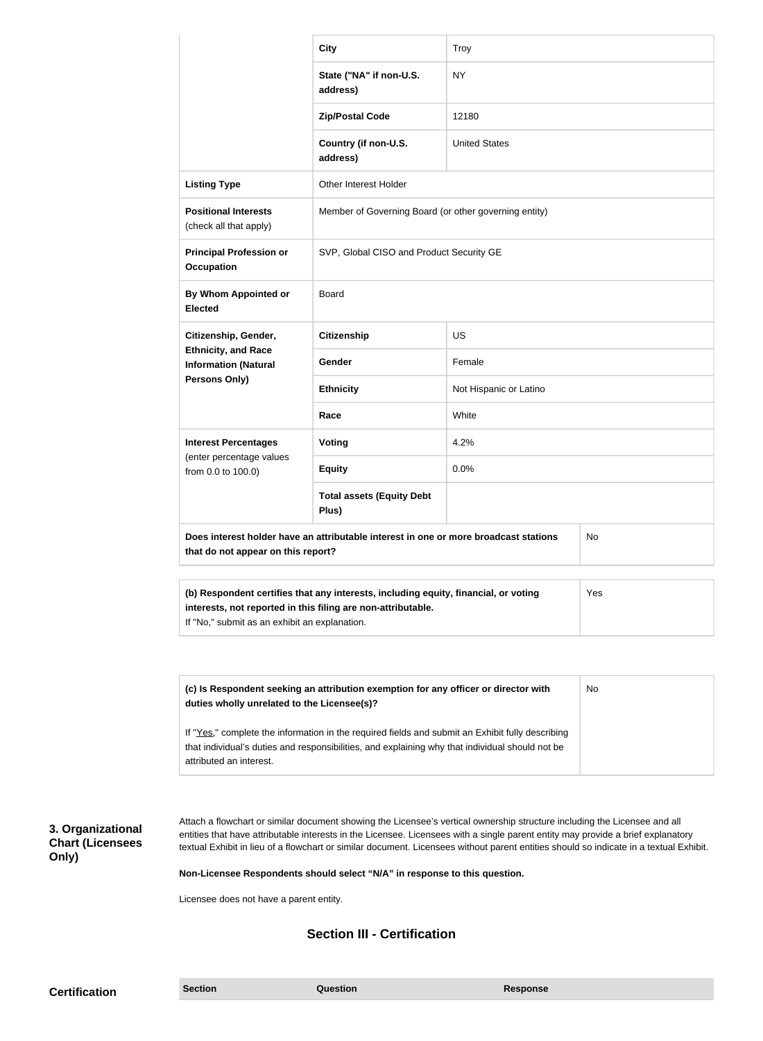|                                                                                                                                                                                                             | <b>City</b>                                           | Troy                   |  |
|-------------------------------------------------------------------------------------------------------------------------------------------------------------------------------------------------------------|-------------------------------------------------------|------------------------|--|
|                                                                                                                                                                                                             | State ("NA" if non-U.S.<br>address)                   | <b>NY</b>              |  |
|                                                                                                                                                                                                             | <b>Zip/Postal Code</b>                                | 12180                  |  |
|                                                                                                                                                                                                             | Country (if non-U.S.<br>address)                      | <b>United States</b>   |  |
| <b>Listing Type</b>                                                                                                                                                                                         | <b>Other Interest Holder</b>                          |                        |  |
| <b>Positional Interests</b><br>(check all that apply)                                                                                                                                                       | Member of Governing Board (or other governing entity) |                        |  |
| <b>Principal Profession or</b><br><b>Occupation</b>                                                                                                                                                         | SVP, Global CISO and Product Security GE              |                        |  |
| By Whom Appointed or<br><b>Elected</b>                                                                                                                                                                      | Board                                                 |                        |  |
| Citizenship, Gender,<br><b>Ethnicity, and Race</b><br><b>Information (Natural</b><br><b>Persons Only)</b>                                                                                                   | <b>Citizenship</b>                                    | <b>US</b>              |  |
|                                                                                                                                                                                                             | Gender                                                | Female                 |  |
|                                                                                                                                                                                                             | <b>Ethnicity</b>                                      | Not Hispanic or Latino |  |
|                                                                                                                                                                                                             | Race                                                  | White                  |  |
| <b>Interest Percentages</b><br>(enter percentage values<br>from 0.0 to 100.0)                                                                                                                               | <b>Voting</b>                                         | 4.2%                   |  |
|                                                                                                                                                                                                             | <b>Equity</b>                                         | 0.0%                   |  |
|                                                                                                                                                                                                             | <b>Total assets (Equity Debt</b><br>Plus)             |                        |  |
| Does interest holder have an attributable interest in one or more broadcast stations<br>No<br>that do not appear on this report?                                                                            |                                                       |                        |  |
| (b) Respondent certifies that any interests, including equity, financial, or voting<br>Yes<br>interests, not reported in this filing are non-attributable.<br>If "No," submit as an exhibit an explanation. |                                                       |                        |  |

| (c) Is Respondent seeking an attribution exemption for any officer or director with<br>duties wholly unrelated to the Licensee(s)? | No. |
|------------------------------------------------------------------------------------------------------------------------------------|-----|
| If "Yes," complete the information in the required fields and submit an Exhibit fully describing                                   |     |
| that individual's duties and responsibilities, and explaining why that individual should not be<br>attributed an interest.         |     |

## **3. Organizational Chart (Licensees Only)**

Attach a flowchart or similar document showing the Licensee's vertical ownership structure including the Licensee and all entities that have attributable interests in the Licensee. Licensees with a single parent entity may provide a brief explanatory textual Exhibit in lieu of a flowchart or similar document. Licensees without parent entities should so indicate in a textual Exhibit.

**Non-Licensee Respondents should select "N/A" in response to this question.**

Licensee does not have a parent entity.

### **Section III - Certification**